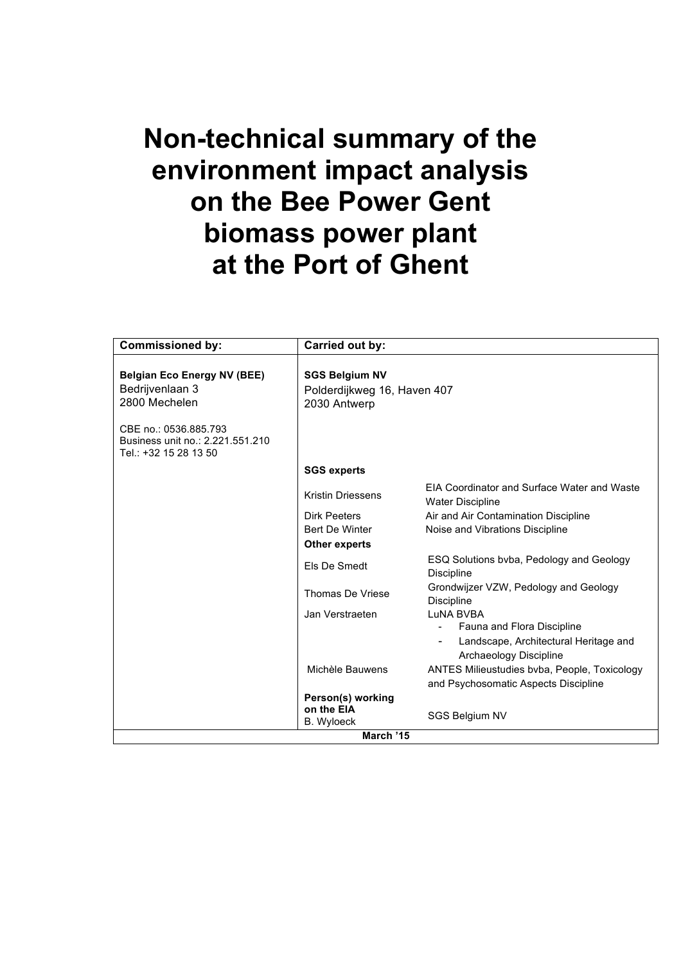# **Non-technical summary of the environment impact analysis on the Bee Power Gent biomass power plant at the Port of Ghent**

| <b>Commissioned by:</b>                                                            | Carried out by:                                                      |                                                                                                                                                         |  |
|------------------------------------------------------------------------------------|----------------------------------------------------------------------|---------------------------------------------------------------------------------------------------------------------------------------------------------|--|
| <b>Belgian Eco Energy NV (BEE)</b><br>Bedrijvenlaan 3<br>2800 Mechelen             | <b>SGS Belgium NV</b><br>Polderdijkweg 16, Haven 407<br>2030 Antwerp |                                                                                                                                                         |  |
| CBE no.: 0536.885.793<br>Business unit no.: 2.221.551.210<br>Tel.: +32 15 28 13 50 |                                                                      |                                                                                                                                                         |  |
|                                                                                    | <b>SGS experts</b>                                                   |                                                                                                                                                         |  |
|                                                                                    | <b>Kristin Driessens</b>                                             | <b>FIA Coordinator and Surface Water and Waste</b><br><b>Water Discipline</b>                                                                           |  |
|                                                                                    | Dirk Peeters<br><b>Bert De Winter</b>                                | Air and Air Contamination Discipline<br>Noise and Vibrations Discipline                                                                                 |  |
|                                                                                    | <b>Other experts</b>                                                 |                                                                                                                                                         |  |
|                                                                                    | Els De Smedt                                                         | ESQ Solutions byba, Pedology and Geology<br><b>Discipline</b>                                                                                           |  |
|                                                                                    | Thomas De Vriese                                                     | Grondwijzer VZW, Pedology and Geology<br>Discipline                                                                                                     |  |
|                                                                                    | Jan Verstraeten                                                      | LuNA BVBA<br>Fauna and Flora Discipline                                                                                                                 |  |
|                                                                                    | Michèle Bauwens                                                      | Landscape, Architectural Heritage and<br>Archaeology Discipline<br>ANTES Milieustudies byba, People, Toxicology<br>and Psychosomatic Aspects Discipline |  |
|                                                                                    | Person(s) working<br>on the EIA<br><b>B.</b> Wyloeck                 | SGS Belgium NV                                                                                                                                          |  |
| March '15                                                                          |                                                                      |                                                                                                                                                         |  |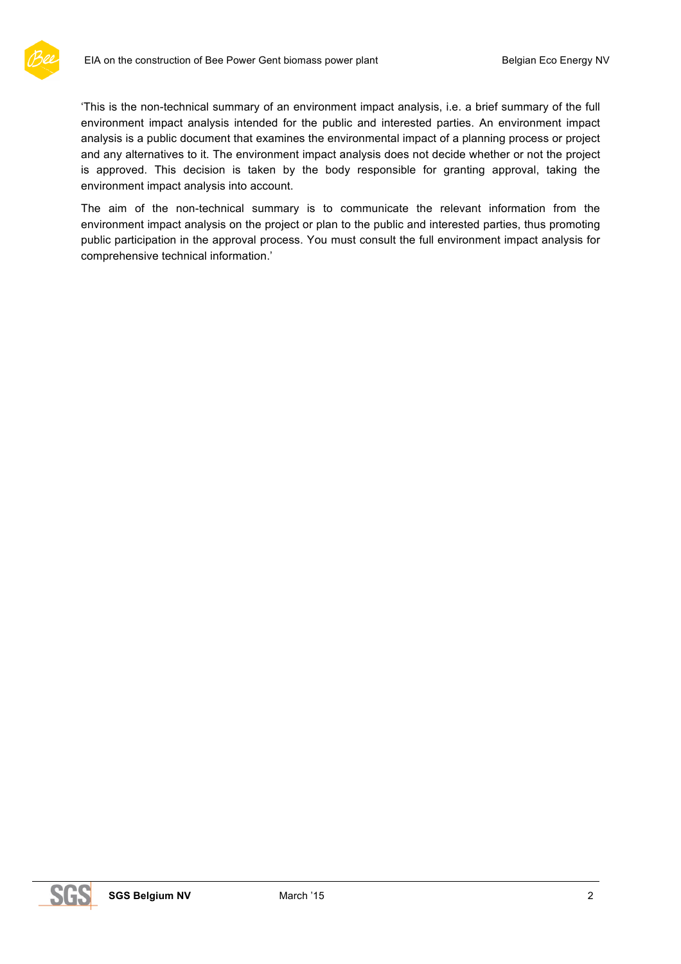

'This is the non-technical summary of an environment impact analysis, i.e. a brief summary of the full environment impact analysis intended for the public and interested parties. An environment impact analysis is a public document that examines the environmental impact of a planning process or project and any alternatives to it. The environment impact analysis does not decide whether or not the project is approved. This decision is taken by the body responsible for granting approval, taking the environment impact analysis into account.

The aim of the non-technical summary is to communicate the relevant information from the environment impact analysis on the project or plan to the public and interested parties, thus promoting public participation in the approval process. You must consult the full environment impact analysis for comprehensive technical information.'

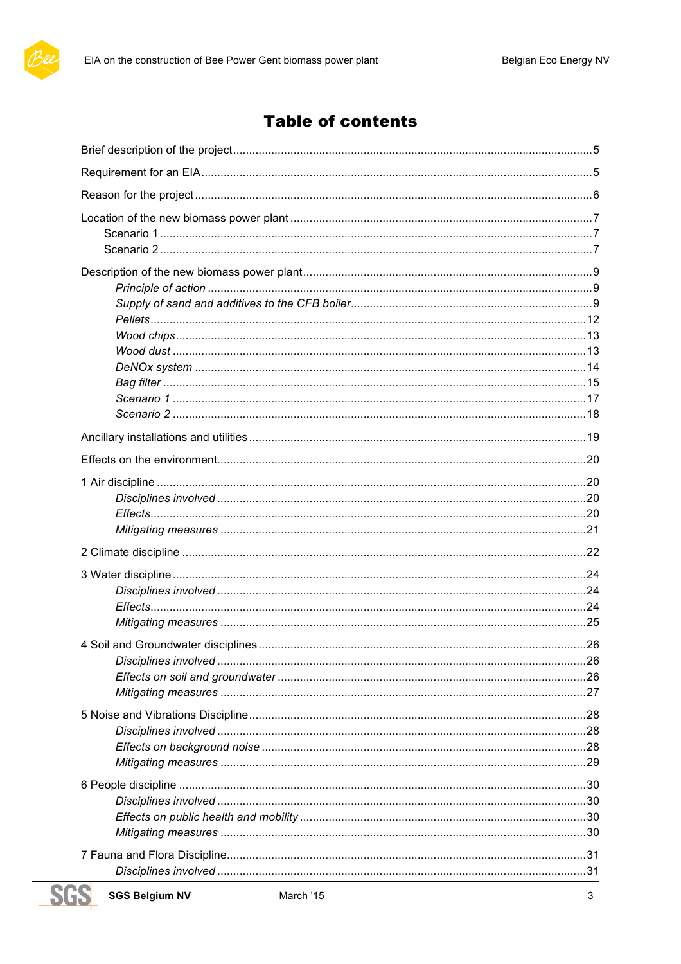

# **Table of contents**

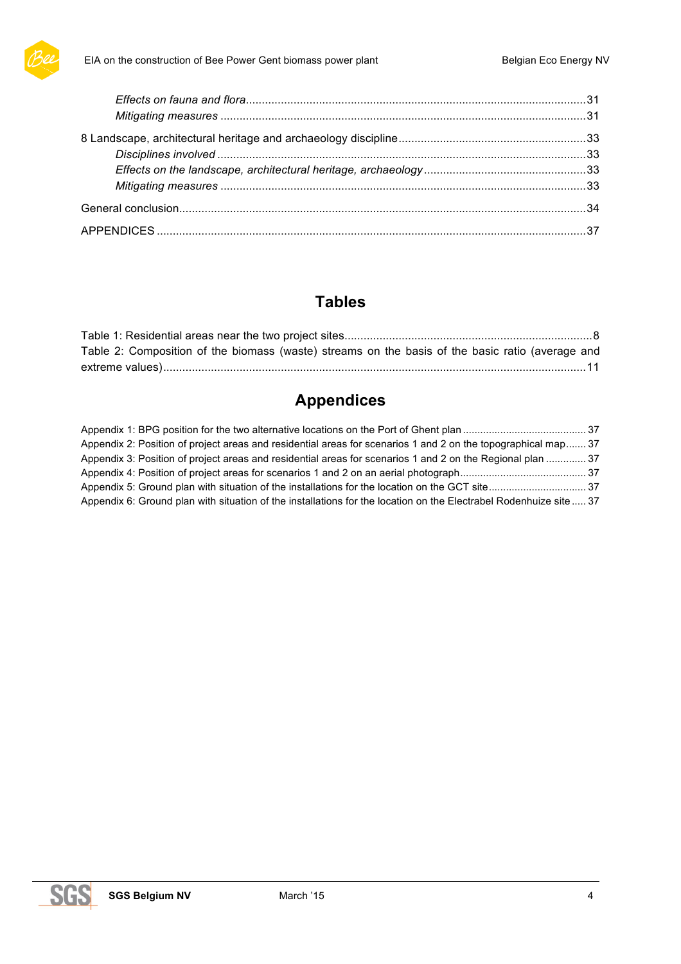

# **Tables**

| Table 2: Composition of the biomass (waste) streams on the basis of the basic ratio (average and |  |
|--------------------------------------------------------------------------------------------------|--|
|                                                                                                  |  |

# **Appendices**

| Appendix 2: Position of project areas and residential areas for scenarios 1 and 2 on the topographical map 37      |  |
|--------------------------------------------------------------------------------------------------------------------|--|
| Appendix 3: Position of project areas and residential areas for scenarios 1 and 2 on the Regional plan  37         |  |
|                                                                                                                    |  |
|                                                                                                                    |  |
| Appendix 6: Ground plan with situation of the installations for the location on the Electrabel Rodenhuize site  37 |  |

**SGS**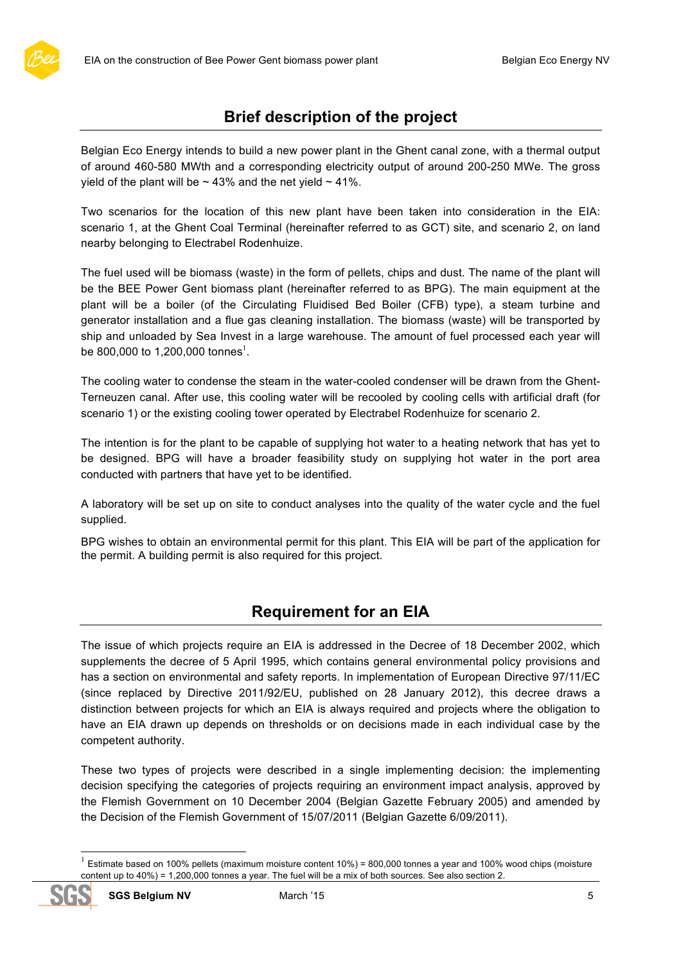

# **Brief description of the project**

Belgian Eco Energy intends to build a new power plant in the Ghent canal zone, with a thermal output of around 460-580 MWth and a corresponding electricity output of around 200-250 MWe. The gross yield of the plant will be  $\sim$  43% and the net yield  $\sim$  41%.

Two scenarios for the location of this new plant have been taken into consideration in the EIA: scenario 1, at the Ghent Coal Terminal (hereinafter referred to as GCT) site, and scenario 2, on land nearby belonging to Electrabel Rodenhuize.

The fuel used will be biomass (waste) in the form of pellets, chips and dust. The name of the plant will be the BEE Power Gent biomass plant (hereinafter referred to as BPG). The main equipment at the plant will be a boiler (of the Circulating Fluidised Bed Boiler (CFB) type), a steam turbine and generator installation and a flue gas cleaning installation. The biomass (waste) will be transported by ship and unloaded by Sea Invest in a large warehouse. The amount of fuel processed each year will be 800,000 to 1,200,000 tonnes<sup>1</sup>.

The cooling water to condense the steam in the water-cooled condenser will be drawn from the Ghent-Terneuzen canal. After use, this cooling water will be recooled by cooling cells with artificial draft (for scenario 1) or the existing cooling tower operated by Electrabel Rodenhuize for scenario 2.

The intention is for the plant to be capable of supplying hot water to a heating network that has yet to be designed. BPG will have a broader feasibility study on supplying hot water in the port area conducted with partners that have yet to be identified.

A laboratory will be set up on site to conduct analyses into the quality of the water cycle and the fuel supplied.

BPG wishes to obtain an environmental permit for this plant. This EIA will be part of the application for the permit. A building permit is also required for this project.

# **Requirement for an EIA**

The issue of which projects require an EIA is addressed in the Decree of 18 December 2002, which supplements the decree of 5 April 1995, which contains general environmental policy provisions and has a section on environmental and safety reports. In implementation of European Directive 97/11/EC (since replaced by Directive 2011/92/EU, published on 28 January 2012), this decree draws a distinction between projects for which an EIA is always required and projects where the obligation to have an EIA drawn up depends on thresholds or on decisions made in each individual case by the competent authority.

These two types of projects were described in a single implementing decision: the implementing decision specifying the categories of projects requiring an environment impact analysis, approved by the Flemish Government on 10 December 2004 (Belgian Gazette February 2005) and amended by the Decision of the Flemish Government of 15/07/2011 (Belgian Gazette 6/09/2011).

 $1$  Estimate based on 100% pellets (maximum moisture content 10%) = 800,000 tonnes a year and 100% wood chips (moisture content up to 40%) = 1,200,000 tonnes a year. The fuel will be a mix of both sources. See also section 2.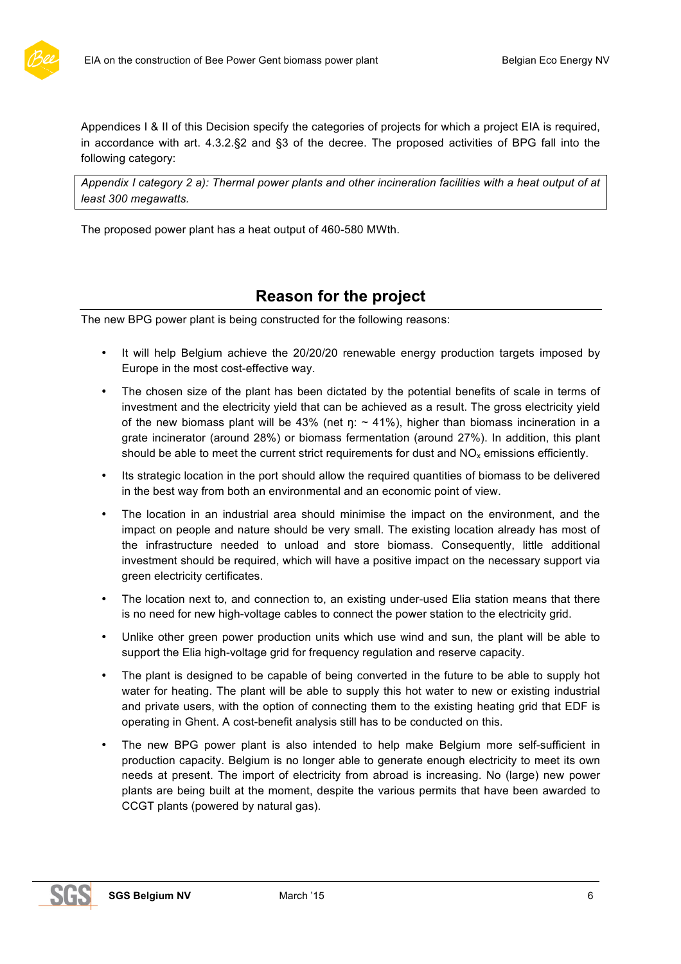

Appendices I & II of this Decision specify the categories of projects for which a project EIA is required, in accordance with art. 4.3.2.§2 and §3 of the decree. The proposed activities of BPG fall into the following category:

*Appendix I category 2 a): Thermal power plants and other incineration facilities with a heat output of at least 300 megawatts.*

The proposed power plant has a heat output of 460-580 MWth.

# **Reason for the project**

The new BPG power plant is being constructed for the following reasons:

- It will help Belgium achieve the 20/20/20 renewable energy production targets imposed by Europe in the most cost-effective way.
- The chosen size of the plant has been dictated by the potential benefits of scale in terms of investment and the electricity yield that can be achieved as a result. The gross electricity yield of the new biomass plant will be 43% (net  $n: \sim 41\%$ ), higher than biomass incineration in a grate incinerator (around 28%) or biomass fermentation (around 27%). In addition, this plant should be able to meet the current strict requirements for dust and  $NO<sub>x</sub>$  emissions efficiently.
- Its strategic location in the port should allow the required quantities of biomass to be delivered in the best way from both an environmental and an economic point of view.
- The location in an industrial area should minimise the impact on the environment, and the impact on people and nature should be very small. The existing location already has most of the infrastructure needed to unload and store biomass. Consequently, little additional investment should be required, which will have a positive impact on the necessary support via green electricity certificates.
- The location next to, and connection to, an existing under-used Elia station means that there is no need for new high-voltage cables to connect the power station to the electricity grid.
- Unlike other green power production units which use wind and sun, the plant will be able to support the Elia high-voltage grid for frequency regulation and reserve capacity.
- The plant is designed to be capable of being converted in the future to be able to supply hot water for heating. The plant will be able to supply this hot water to new or existing industrial and private users, with the option of connecting them to the existing heating grid that EDF is operating in Ghent. A cost-benefit analysis still has to be conducted on this.
- The new BPG power plant is also intended to help make Belgium more self-sufficient in production capacity. Belgium is no longer able to generate enough electricity to meet its own needs at present. The import of electricity from abroad is increasing. No (large) new power plants are being built at the moment, despite the various permits that have been awarded to CCGT plants (powered by natural gas).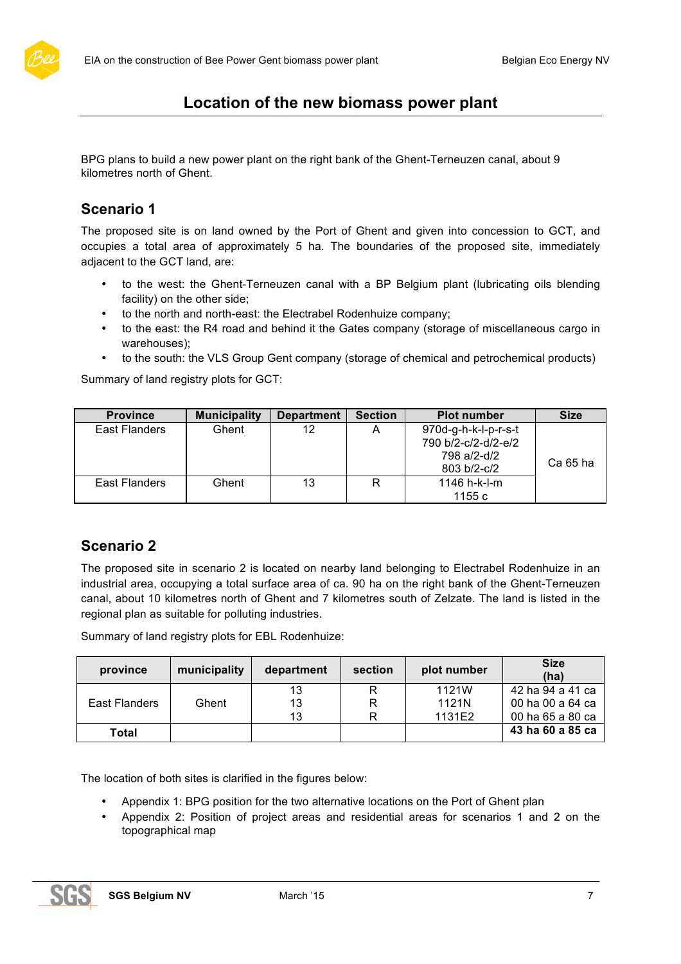# **Location of the new biomass power plant**

BPG plans to build a new power plant on the right bank of the Ghent-Terneuzen canal, about 9 kilometres north of Ghent.

# **Scenario 1**

The proposed site is on land owned by the Port of Ghent and given into concession to GCT, and occupies a total area of approximately 5 ha. The boundaries of the proposed site, immediately adjacent to the GCT land, are:

- to the west: the Ghent-Terneuzen canal with a BP Belgium plant (lubricating oils blending facility) on the other side;
- to the north and north-east: the Electrabel Rodenhuize company;
- to the east: the R4 road and behind it the Gates company (storage of miscellaneous cargo in warehouses);
- to the south: the VLS Group Gent company (storage of chemical and petrochemical products)

Summary of land registry plots for GCT:

| <b>Province</b>        | <b>Municipality</b> | <b>Department</b> | <b>Section</b> | <b>Plot number</b>                                         | <b>Size</b> |
|------------------------|---------------------|-------------------|----------------|------------------------------------------------------------|-------------|
| East Flanders<br>Ghent |                     | 12                | A              | 970d-g-h-k-l-p-r-s-t<br>790 b/2-c/2-d/2-e/2<br>798 a/2-d/2 | Ca 65 ha    |
| East Flanders          | Ghent               | 13                | R              | 803 b/2-c/2<br>1146 h-k-l-m                                |             |
|                        |                     |                   |                | 1155 $c$                                                   |             |

# **Scenario 2**

The proposed site in scenario 2 is located on nearby land belonging to Electrabel Rodenhuize in an industrial area, occupying a total surface area of ca. 90 ha on the right bank of the Ghent-Terneuzen canal, about 10 kilometres north of Ghent and 7 kilometres south of Zelzate. The land is listed in the regional plan as suitable for polluting industries.

Summary of land registry plots for EBL Rodenhuize:

| province      | municipality | department | section | plot number    | <b>Size</b><br>(ha)                  |
|---------------|--------------|------------|---------|----------------|--------------------------------------|
| East Flanders | Ghent        | 13<br>13   |         | 1121W<br>1121N | 42 ha 94 a 41 ca<br>00 ha 00 a 64 ca |
|               |              | 13         |         | 1131E2         | 00 ha 65 a 80 ca                     |
| Total         |              |            |         |                | 43 ha 60 a 85 ca                     |

The location of both sites is clarified in the figures below:

- Appendix 1: BPG position for the two alternative locations on the Port of Ghent plan
- Appendix 2: Position of project areas and residential areas for scenarios 1 and 2 on the topographical map

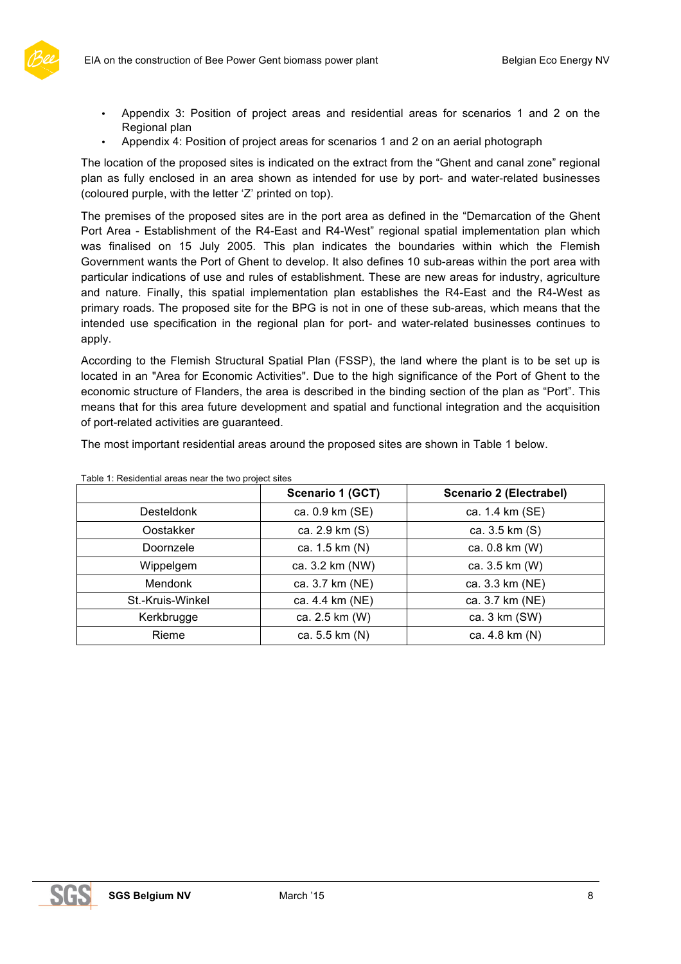

- Appendix 3: Position of project areas and residential areas for scenarios 1 and 2 on the Regional plan
- Appendix 4: Position of project areas for scenarios 1 and 2 on an aerial photograph

The location of the proposed sites is indicated on the extract from the "Ghent and canal zone" regional plan as fully enclosed in an area shown as intended for use by port- and water-related businesses (coloured purple, with the letter 'Z' printed on top).

The premises of the proposed sites are in the port area as defined in the "Demarcation of the Ghent Port Area - Establishment of the R4-East and R4-West" regional spatial implementation plan which was finalised on 15 July 2005. This plan indicates the boundaries within which the Flemish Government wants the Port of Ghent to develop. It also defines 10 sub-areas within the port area with particular indications of use and rules of establishment. These are new areas for industry, agriculture and nature. Finally, this spatial implementation plan establishes the R4-East and the R4-West as primary roads. The proposed site for the BPG is not in one of these sub-areas, which means that the intended use specification in the regional plan for port- and water-related businesses continues to apply.

According to the Flemish Structural Spatial Plan (FSSP), the land where the plant is to be set up is located in an "Area for Economic Activities". Due to the high significance of the Port of Ghent to the economic structure of Flanders, the area is described in the binding section of the plan as "Port". This means that for this area future development and spatial and functional integration and the acquisition of port-related activities are guaranteed.

The most important residential areas around the proposed sites are shown in Table 1 below.

|                   | Scenario 1 (GCT) | Scenario 2 (Electrabel) |
|-------------------|------------------|-------------------------|
| <b>Desteldonk</b> | ca. 0.9 km (SE)  | ca. 1.4 km (SE)         |
| Oostakker         | ca. 2.9 km (S)   | ca. 3.5 km (S)          |
| Doornzele         | ca. 1.5 km (N)   | ca. 0.8 km (W)          |
| Wippelgem         | ca. 3.2 km (NW)  | ca. 3.5 km (W)          |
| <b>Mendonk</b>    | ca. 3.7 km (NE)  | ca. 3.3 km (NE)         |
| St.-Kruis-Winkel  | ca. 4.4 km (NE)  | ca. 3.7 km (NE)         |
| Kerkbrugge        | ca. 2.5 km (W)   | ca. 3 km (SW)           |
| Rieme             | ca. 5.5 km (N)   | ca. 4.8 km (N)          |

Table 1: Residential areas near the two project sites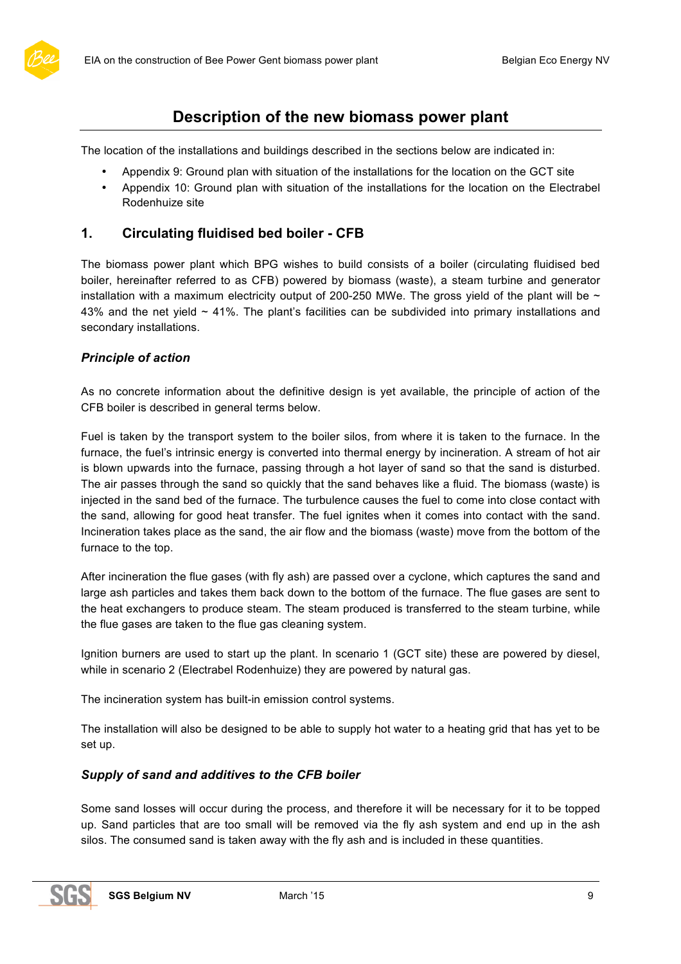

# **Description of the new biomass power plant**

The location of the installations and buildings described in the sections below are indicated in:

- Appendix 9: Ground plan with situation of the installations for the location on the GCT site
- Appendix 10: Ground plan with situation of the installations for the location on the Electrabel Rodenhuize site

# **1. Circulating fluidised bed boiler - CFB**

The biomass power plant which BPG wishes to build consists of a boiler (circulating fluidised bed boiler, hereinafter referred to as CFB) powered by biomass (waste), a steam turbine and generator installation with a maximum electricity output of 200-250 MWe. The gross yield of the plant will be  $\sim$ 43% and the net yield  $\sim$  41%. The plant's facilities can be subdivided into primary installations and secondary installations.

#### *Principle of action*

As no concrete information about the definitive design is yet available, the principle of action of the CFB boiler is described in general terms below.

Fuel is taken by the transport system to the boiler silos, from where it is taken to the furnace. In the furnace, the fuel's intrinsic energy is converted into thermal energy by incineration. A stream of hot air is blown upwards into the furnace, passing through a hot layer of sand so that the sand is disturbed. The air passes through the sand so quickly that the sand behaves like a fluid. The biomass (waste) is injected in the sand bed of the furnace. The turbulence causes the fuel to come into close contact with the sand, allowing for good heat transfer. The fuel ignites when it comes into contact with the sand. Incineration takes place as the sand, the air flow and the biomass (waste) move from the bottom of the furnace to the top.

After incineration the flue gases (with fly ash) are passed over a cyclone, which captures the sand and large ash particles and takes them back down to the bottom of the furnace. The flue gases are sent to the heat exchangers to produce steam. The steam produced is transferred to the steam turbine, while the flue gases are taken to the flue gas cleaning system.

Ignition burners are used to start up the plant. In scenario 1 (GCT site) these are powered by diesel, while in scenario 2 (Electrabel Rodenhuize) they are powered by natural gas.

The incineration system has built-in emission control systems.

The installation will also be designed to be able to supply hot water to a heating grid that has yet to be set up.

### *Supply of sand and additives to the CFB boiler*

Some sand losses will occur during the process, and therefore it will be necessary for it to be topped up. Sand particles that are too small will be removed via the fly ash system and end up in the ash silos. The consumed sand is taken away with the fly ash and is included in these quantities.

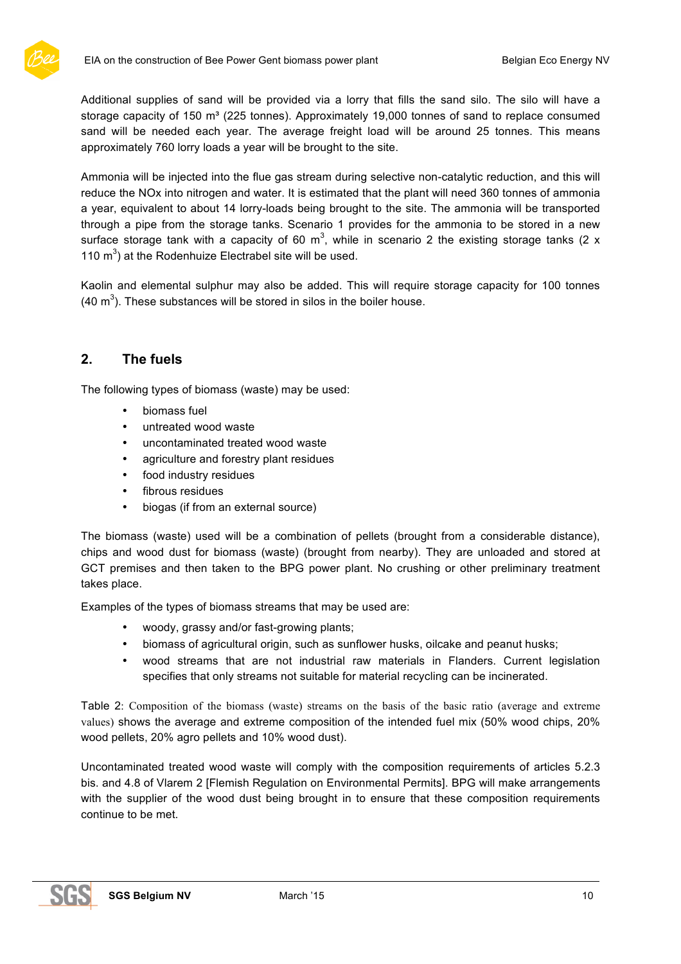

Additional supplies of sand will be provided via a lorry that fills the sand silo. The silo will have a storage capacity of 150  $m<sup>3</sup>$  (225 tonnes). Approximately 19,000 tonnes of sand to replace consumed sand will be needed each year. The average freight load will be around 25 tonnes. This means approximately 760 lorry loads a year will be brought to the site.

Ammonia will be injected into the flue gas stream during selective non-catalytic reduction, and this will reduce the NOx into nitrogen and water. It is estimated that the plant will need 360 tonnes of ammonia a year, equivalent to about 14 lorry-loads being brought to the site. The ammonia will be transported through a pipe from the storage tanks. Scenario 1 provides for the ammonia to be stored in a new surface storage tank with a capacity of 60 m<sup>3</sup>, while in scenario 2 the existing storage tanks (2 x 110  $m<sup>3</sup>$ ) at the Rodenhuize Electrabel site will be used.

Kaolin and elemental sulphur may also be added. This will require storage capacity for 100 tonnes (40  $\text{m}^3$ ). These substances will be stored in silos in the boiler house.

# **2. The fuels**

The following types of biomass (waste) may be used:

- biomass fuel
- untreated wood waste
- uncontaminated treated wood waste
- agriculture and forestry plant residues
- food industry residues
- fibrous residues
- biogas (if from an external source)

The biomass (waste) used will be a combination of pellets (brought from a considerable distance), chips and wood dust for biomass (waste) (brought from nearby). They are unloaded and stored at GCT premises and then taken to the BPG power plant. No crushing or other preliminary treatment takes place.

Examples of the types of biomass streams that may be used are:

- woody, grassy and/or fast-growing plants;
- biomass of agricultural origin, such as sunflower husks, oilcake and peanut husks;
- wood streams that are not industrial raw materials in Flanders. Current legislation specifies that only streams not suitable for material recycling can be incinerated.

Table 2: Composition of the biomass (waste) streams on the basis of the basic ratio (average and extreme values) shows the average and extreme composition of the intended fuel mix (50% wood chips, 20% wood pellets, 20% agro pellets and 10% wood dust).

Uncontaminated treated wood waste will comply with the composition requirements of articles 5.2.3 bis. and 4.8 of Vlarem 2 [Flemish Regulation on Environmental Permits]. BPG will make arrangements with the supplier of the wood dust being brought in to ensure that these composition requirements continue to be met.

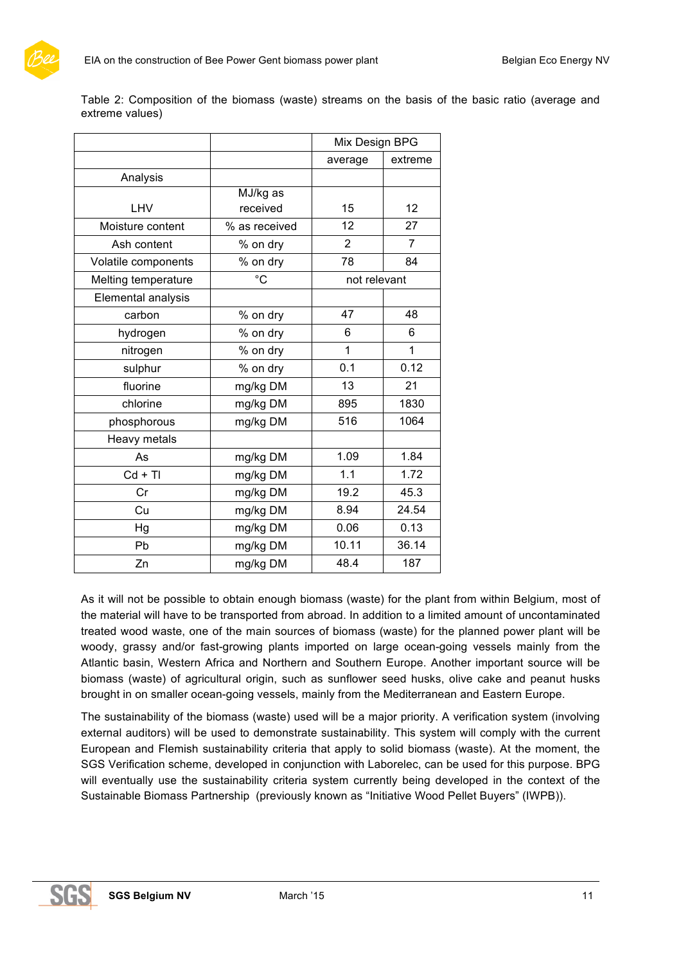

Table 2: Composition of the biomass (waste) streams on the basis of the basic ratio (average and extreme values)

|                     |               | Mix Design BPG |                |
|---------------------|---------------|----------------|----------------|
|                     |               | average        | extreme        |
| Analysis            |               |                |                |
|                     | MJ/kg as      |                |                |
| <b>LHV</b>          | received      | 15             | 12             |
| Moisture content    | % as received | 12             | 27             |
| Ash content         | % on dry      | $\overline{2}$ | $\overline{7}$ |
| Volatile components | % on dry      | 78             | 84             |
| Melting temperature | $^{\circ}C$   | not relevant   |                |
| Elemental analysis  |               |                |                |
| carbon              | % on dry      | 47             | 48             |
| hydrogen            | % on dry      | 6              | 6              |
| nitrogen            | % on dry      | 1              | 1              |
| sulphur             | % on dry      | 0.1            | 0.12           |
| fluorine            | mg/kg DM      | 13             | 21             |
| chlorine            | mg/kg DM      | 895            | 1830           |
| phosphorous         | mg/kg DM      | 516            | 1064           |
| Heavy metals        |               |                |                |
| As                  | mg/kg DM      | 1.09           | 1.84           |
| $Cd + TI$           | mg/kg DM      | 1.1            | 1.72           |
| Cr                  | mg/kg DM      | 19.2           | 45.3           |
| Cu                  | mg/kg DM      | 8.94           | 24.54          |
| Hg                  | mg/kg DM      | 0.06           | 0.13           |
| Pb                  | mg/kg DM      | 10.11          | 36.14          |
| Zn                  | mg/kg DM      | 48.4           | 187            |

As it will not be possible to obtain enough biomass (waste) for the plant from within Belgium, most of the material will have to be transported from abroad. In addition to a limited amount of uncontaminated treated wood waste, one of the main sources of biomass (waste) for the planned power plant will be woody, grassy and/or fast-growing plants imported on large ocean-going vessels mainly from the Atlantic basin, Western Africa and Northern and Southern Europe. Another important source will be biomass (waste) of agricultural origin, such as sunflower seed husks, olive cake and peanut husks brought in on smaller ocean-going vessels, mainly from the Mediterranean and Eastern Europe.

The sustainability of the biomass (waste) used will be a major priority. A verification system (involving external auditors) will be used to demonstrate sustainability. This system will comply with the current European and Flemish sustainability criteria that apply to solid biomass (waste). At the moment, the SGS Verification scheme, developed in conjunction with Laborelec, can be used for this purpose. BPG will eventually use the sustainability criteria system currently being developed in the context of the Sustainable Biomass Partnership (previously known as "Initiative Wood Pellet Buyers" (IWPB)).

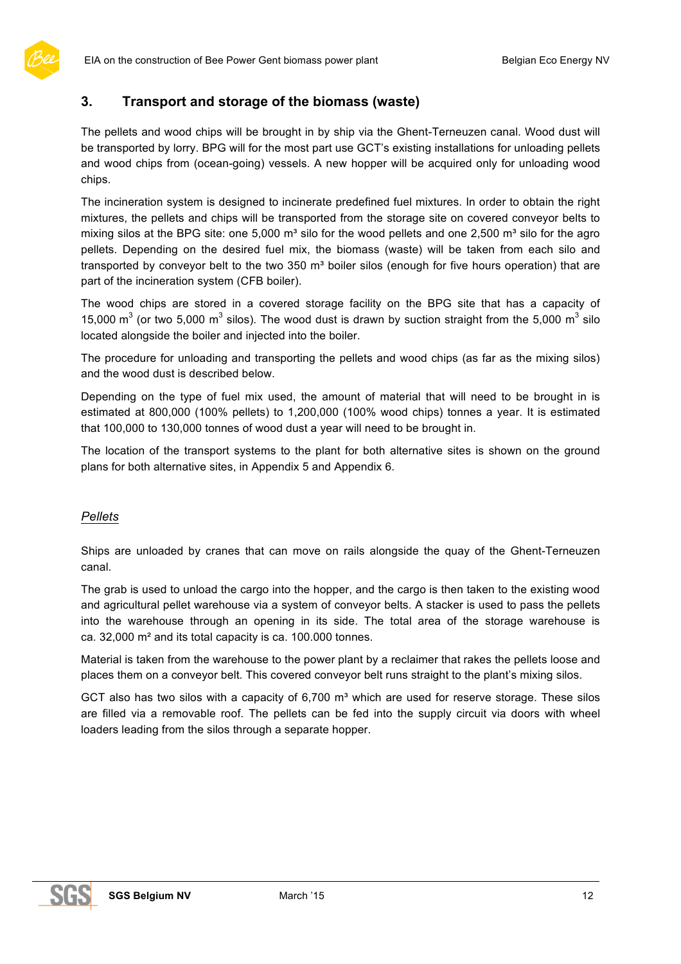# **3. Transport and storage of the biomass (waste)**

The pellets and wood chips will be brought in by ship via the Ghent-Terneuzen canal. Wood dust will be transported by lorry. BPG will for the most part use GCT's existing installations for unloading pellets and wood chips from (ocean-going) vessels. A new hopper will be acquired only for unloading wood chips.

The incineration system is designed to incinerate predefined fuel mixtures. In order to obtain the right mixtures, the pellets and chips will be transported from the storage site on covered conveyor belts to mixing silos at the BPG site: one 5,000  $m<sup>3</sup>$  silo for the wood pellets and one 2,500  $m<sup>3</sup>$  silo for the agro pellets. Depending on the desired fuel mix, the biomass (waste) will be taken from each silo and transported by conveyor belt to the two 350 m<sup>3</sup> boiler silos (enough for five hours operation) that are part of the incineration system (CFB boiler).

The wood chips are stored in a covered storage facility on the BPG site that has a capacity of 15,000  $\text{m}^3$  (or two 5,000  $\text{m}^3$  silos). The wood dust is drawn by suction straight from the 5,000  $\text{m}^3$  silo located alongside the boiler and injected into the boiler.

The procedure for unloading and transporting the pellets and wood chips (as far as the mixing silos) and the wood dust is described below.

Depending on the type of fuel mix used, the amount of material that will need to be brought in is estimated at 800,000 (100% pellets) to 1,200,000 (100% wood chips) tonnes a year. It is estimated that 100,000 to 130,000 tonnes of wood dust a year will need to be brought in.

The location of the transport systems to the plant for both alternative sites is shown on the ground plans for both alternative sites, in Appendix 5 and Appendix 6.

### *Pellets*

Ships are unloaded by cranes that can move on rails alongside the quay of the Ghent-Terneuzen canal.

The grab is used to unload the cargo into the hopper, and the cargo is then taken to the existing wood and agricultural pellet warehouse via a system of conveyor belts. A stacker is used to pass the pellets into the warehouse through an opening in its side. The total area of the storage warehouse is ca. 32,000 m² and its total capacity is ca. 100.000 tonnes.

Material is taken from the warehouse to the power plant by a reclaimer that rakes the pellets loose and places them on a conveyor belt. This covered conveyor belt runs straight to the plant's mixing silos.

GCT also has two silos with a capacity of  $6,700$  m<sup>3</sup> which are used for reserve storage. These silos are filled via a removable roof. The pellets can be fed into the supply circuit via doors with wheel loaders leading from the silos through a separate hopper.

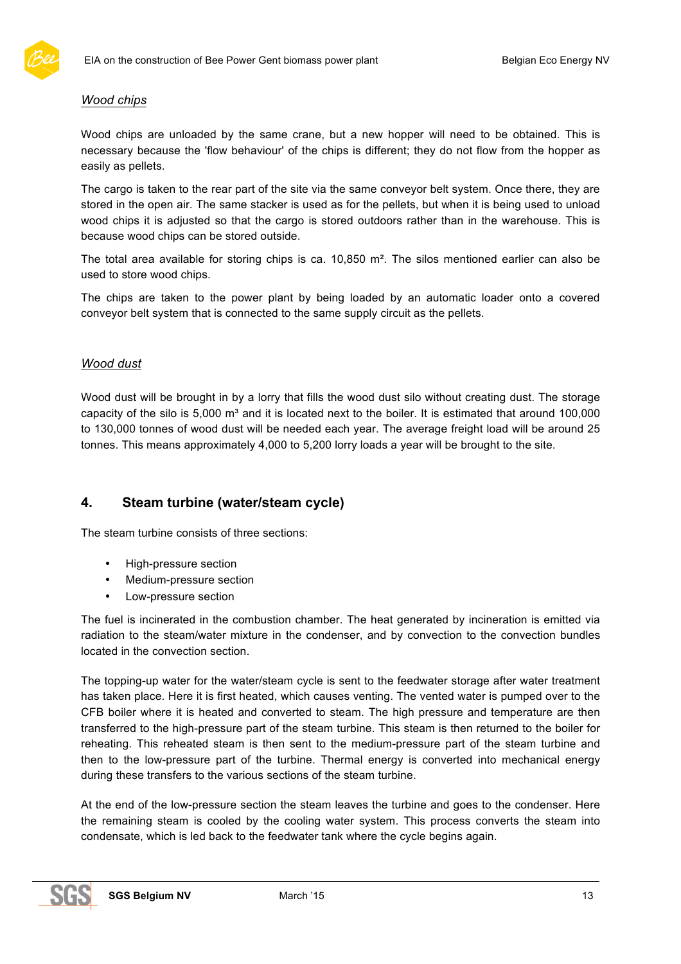

#### *Wood chips*

Wood chips are unloaded by the same crane, but a new hopper will need to be obtained. This is necessary because the 'flow behaviour' of the chips is different; they do not flow from the hopper as easily as pellets.

The cargo is taken to the rear part of the site via the same conveyor belt system. Once there, they are stored in the open air. The same stacker is used as for the pellets, but when it is being used to unload wood chips it is adjusted so that the cargo is stored outdoors rather than in the warehouse. This is because wood chips can be stored outside.

The total area available for storing chips is ca. 10,850 m². The silos mentioned earlier can also be used to store wood chips.

The chips are taken to the power plant by being loaded by an automatic loader onto a covered conveyor belt system that is connected to the same supply circuit as the pellets.

#### *Wood dust*

Wood dust will be brought in by a lorry that fills the wood dust silo without creating dust. The storage capacity of the silo is  $5,000 \text{ m}^3$  and it is located next to the boiler. It is estimated that around 100,000 to 130,000 tonnes of wood dust will be needed each year. The average freight load will be around 25 tonnes. This means approximately 4,000 to 5,200 lorry loads a year will be brought to the site.

# **4. Steam turbine (water/steam cycle)**

The steam turbine consists of three sections:

- High-pressure section
- Medium-pressure section
- Low-pressure section

The fuel is incinerated in the combustion chamber. The heat generated by incineration is emitted via radiation to the steam/water mixture in the condenser, and by convection to the convection bundles located in the convection section.

The topping-up water for the water/steam cycle is sent to the feedwater storage after water treatment has taken place. Here it is first heated, which causes venting. The vented water is pumped over to the CFB boiler where it is heated and converted to steam. The high pressure and temperature are then transferred to the high-pressure part of the steam turbine. This steam is then returned to the boiler for reheating. This reheated steam is then sent to the medium-pressure part of the steam turbine and then to the low-pressure part of the turbine. Thermal energy is converted into mechanical energy during these transfers to the various sections of the steam turbine.

At the end of the low-pressure section the steam leaves the turbine and goes to the condenser. Here the remaining steam is cooled by the cooling water system. This process converts the steam into condensate, which is led back to the feedwater tank where the cycle begins again.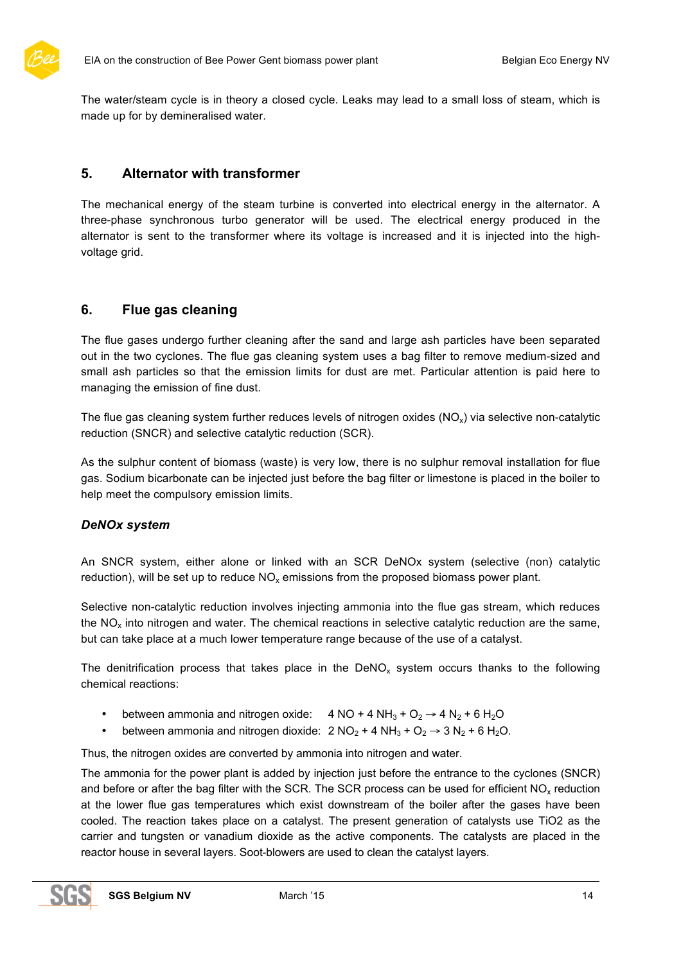

The water/steam cycle is in theory a closed cycle. Leaks may lead to a small loss of steam, which is made up for by demineralised water.

# **5. Alternator with transformer**

The mechanical energy of the steam turbine is converted into electrical energy in the alternator. A three-phase synchronous turbo generator will be used. The electrical energy produced in the alternator is sent to the transformer where its voltage is increased and it is injected into the highvoltage grid.

# **6. Flue gas cleaning**

The flue gases undergo further cleaning after the sand and large ash particles have been separated out in the two cyclones. The flue gas cleaning system uses a bag filter to remove medium-sized and small ash particles so that the emission limits for dust are met. Particular attention is paid here to managing the emission of fine dust.

The flue gas cleaning system further reduces levels of nitrogen oxides  $(NO_x)$  via selective non-catalytic reduction (SNCR) and selective catalytic reduction (SCR).

As the sulphur content of biomass (waste) is very low, there is no sulphur removal installation for flue gas. Sodium bicarbonate can be injected just before the bag filter or limestone is placed in the boiler to help meet the compulsory emission limits.

#### *DeNOx system*

An SNCR system, either alone or linked with an SCR DeNOx system (selective (non) catalytic reduction), will be set up to reduce  $NO<sub>x</sub>$  emissions from the proposed biomass power plant.

Selective non-catalytic reduction involves injecting ammonia into the flue gas stream, which reduces the  $NO<sub>x</sub>$  into nitrogen and water. The chemical reactions in selective catalytic reduction are the same, but can take place at a much lower temperature range because of the use of a catalyst.

The denitrification process that takes place in the  $DeNO<sub>x</sub>$  system occurs thanks to the following chemical reactions:

- between ammonia and nitrogen oxide:  $4 NO + 4 NH_3 + O_2 \rightarrow 4 N_2 + 6 H_2O$
- between ammonia and nitrogen dioxide:  $2 \text{ NO}_2 + 4 \text{ NH}_3 + \text{ O}_2 \rightarrow 3 \text{ N}_2 + 6 \text{ H}_2\text{O}$ .

Thus, the nitrogen oxides are converted by ammonia into nitrogen and water.

The ammonia for the power plant is added by injection just before the entrance to the cyclones (SNCR) and before or after the bag filter with the SCR. The SCR process can be used for efficient NO<sub>x</sub> reduction at the lower flue gas temperatures which exist downstream of the boiler after the gases have been cooled. The reaction takes place on a catalyst. The present generation of catalysts use TiO2 as the carrier and tungsten or vanadium dioxide as the active components. The catalysts are placed in the reactor house in several layers. Soot-blowers are used to clean the catalyst layers.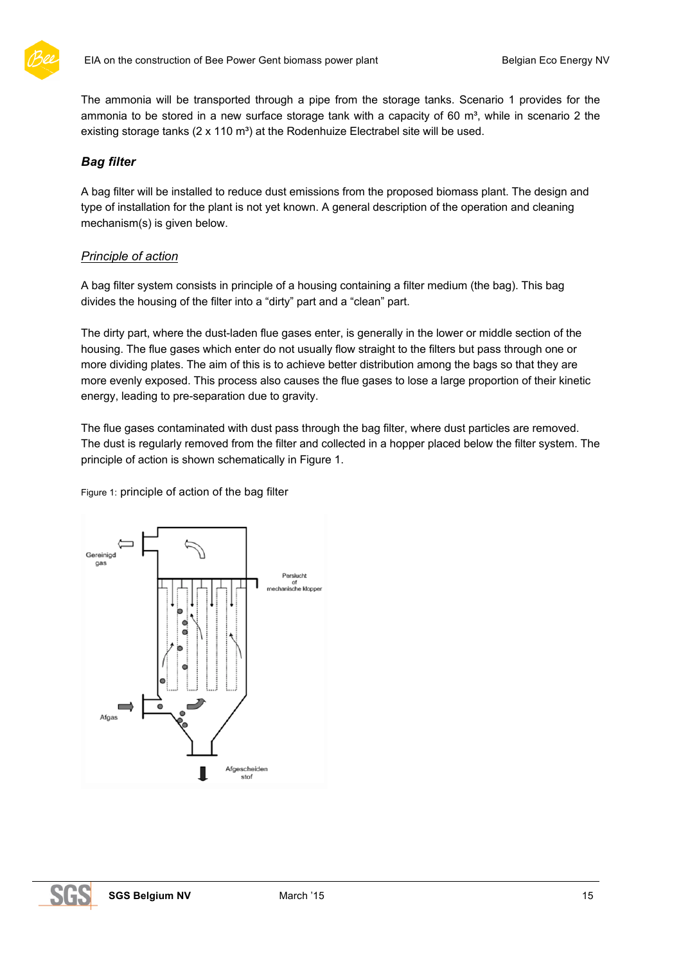

The ammonia will be transported through a pipe from the storage tanks. Scenario 1 provides for the ammonia to be stored in a new surface storage tank with a capacity of 60 m<sup>3</sup>, while in scenario 2 the existing storage tanks  $(2 \times 110 \text{ m}^3)$  at the Rodenhuize Electrabel site will be used.

### *Bag filter*

A bag filter will be installed to reduce dust emissions from the proposed biomass plant. The design and type of installation for the plant is not yet known. A general description of the operation and cleaning mechanism(s) is given below.

### *Principle of action*

A bag filter system consists in principle of a housing containing a filter medium (the bag). This bag divides the housing of the filter into a "dirty" part and a "clean" part.

The dirty part, where the dust-laden flue gases enter, is generally in the lower or middle section of the housing. The flue gases which enter do not usually flow straight to the filters but pass through one or more dividing plates. The aim of this is to achieve better distribution among the bags so that they are more evenly exposed. This process also causes the flue gases to lose a large proportion of their kinetic energy, leading to pre-separation due to gravity.

The flue gases contaminated with dust pass through the bag filter, where dust particles are removed. The dust is regularly removed from the filter and collected in a hopper placed below the filter system. The principle of action is shown schematically in Figure 1.

Figure 1: principle of action of the bag filter

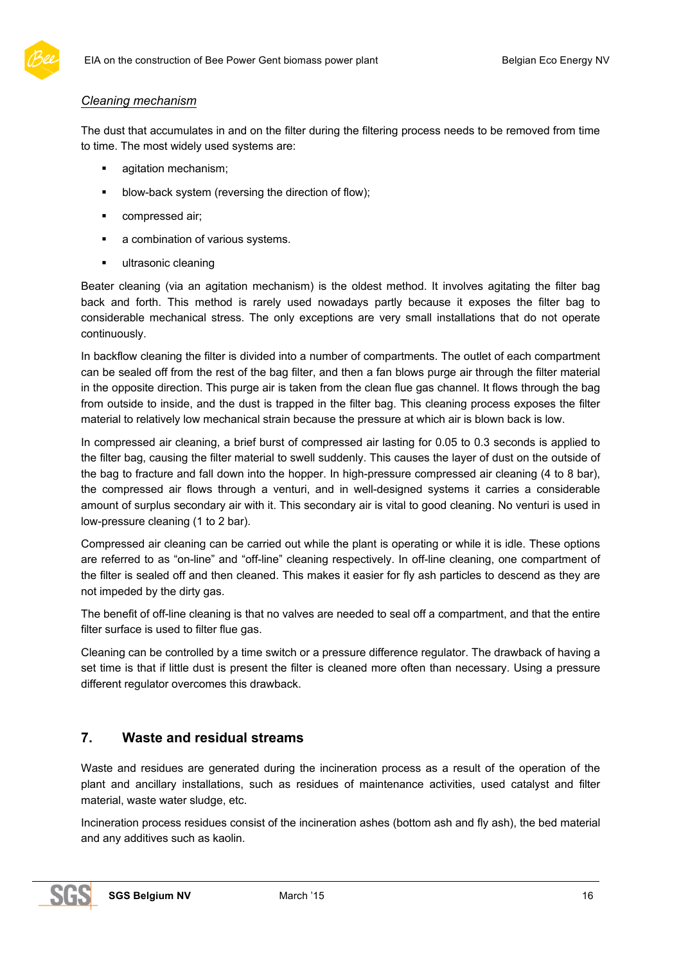#### *Cleaning mechanism*

The dust that accumulates in and on the filter during the filtering process needs to be removed from time to time. The most widely used systems are:

- **•** agitation mechanism;
- **•** blow-back system (reversing the direction of flow);
- compressed air;
- a combination of various systems.
- ultrasonic cleaning

Beater cleaning (via an agitation mechanism) is the oldest method. It involves agitating the filter bag back and forth. This method is rarely used nowadays partly because it exposes the filter bag to considerable mechanical stress. The only exceptions are very small installations that do not operate continuously.

In backflow cleaning the filter is divided into a number of compartments. The outlet of each compartment can be sealed off from the rest of the bag filter, and then a fan blows purge air through the filter material in the opposite direction. This purge air is taken from the clean flue gas channel. It flows through the bag from outside to inside, and the dust is trapped in the filter bag. This cleaning process exposes the filter material to relatively low mechanical strain because the pressure at which air is blown back is low.

In compressed air cleaning, a brief burst of compressed air lasting for 0.05 to 0.3 seconds is applied to the filter bag, causing the filter material to swell suddenly. This causes the layer of dust on the outside of the bag to fracture and fall down into the hopper. In high-pressure compressed air cleaning (4 to 8 bar), the compressed air flows through a venturi, and in well-designed systems it carries a considerable amount of surplus secondary air with it. This secondary air is vital to good cleaning. No venturi is used in low-pressure cleaning (1 to 2 bar).

Compressed air cleaning can be carried out while the plant is operating or while it is idle. These options are referred to as "on-line" and "off-line" cleaning respectively. In off-line cleaning, one compartment of the filter is sealed off and then cleaned. This makes it easier for fly ash particles to descend as they are not impeded by the dirty gas.

The benefit of off-line cleaning is that no valves are needed to seal off a compartment, and that the entire filter surface is used to filter flue gas.

Cleaning can be controlled by a time switch or a pressure difference regulator. The drawback of having a set time is that if little dust is present the filter is cleaned more often than necessary. Using a pressure different regulator overcomes this drawback.

# **7. Waste and residual streams**

Waste and residues are generated during the incineration process as a result of the operation of the plant and ancillary installations, such as residues of maintenance activities, used catalyst and filter material, waste water sludge, etc.

Incineration process residues consist of the incineration ashes (bottom ash and fly ash), the bed material and any additives such as kaolin.

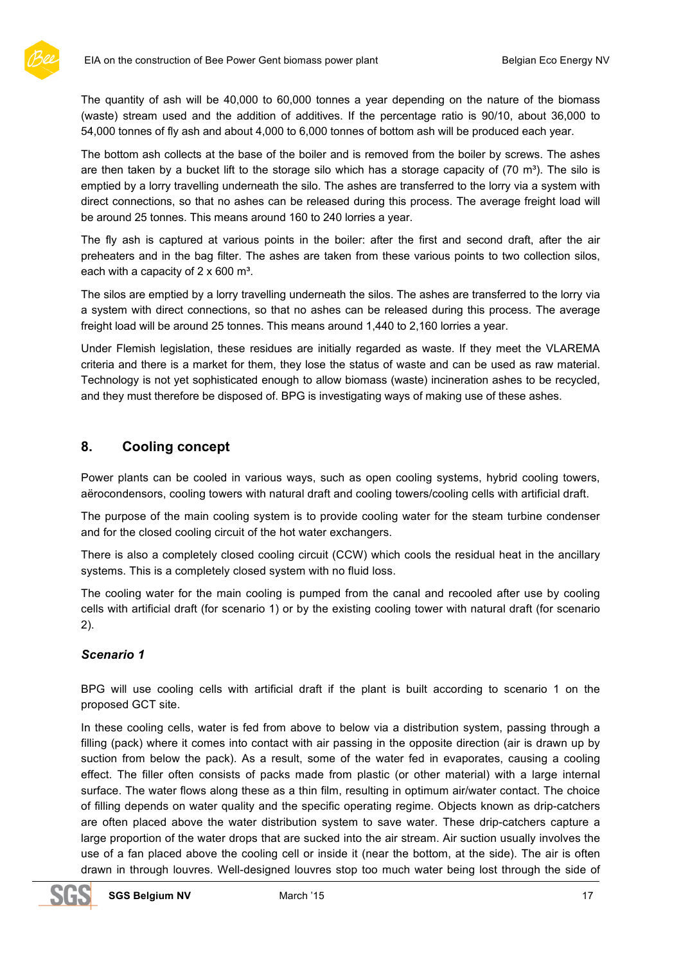

The quantity of ash will be 40,000 to 60,000 tonnes a year depending on the nature of the biomass (waste) stream used and the addition of additives. If the percentage ratio is 90/10, about 36,000 to 54,000 tonnes of fly ash and about 4,000 to 6,000 tonnes of bottom ash will be produced each year.

The bottom ash collects at the base of the boiler and is removed from the boiler by screws. The ashes are then taken by a bucket lift to the storage silo which has a storage capacity of  $(70 \text{ m}^3)$ . The silo is emptied by a lorry travelling underneath the silo. The ashes are transferred to the lorry via a system with direct connections, so that no ashes can be released during this process. The average freight load will be around 25 tonnes. This means around 160 to 240 lorries a year.

The fly ash is captured at various points in the boiler: after the first and second draft, after the air preheaters and in the bag filter. The ashes are taken from these various points to two collection silos, each with a capacity of  $2 \times 600$  m<sup>3</sup>.

The silos are emptied by a lorry travelling underneath the silos. The ashes are transferred to the lorry via a system with direct connections, so that no ashes can be released during this process. The average freight load will be around 25 tonnes. This means around 1,440 to 2,160 lorries a year.

Under Flemish legislation, these residues are initially regarded as waste. If they meet the VLAREMA criteria and there is a market for them, they lose the status of waste and can be used as raw material. Technology is not yet sophisticated enough to allow biomass (waste) incineration ashes to be recycled, and they must therefore be disposed of. BPG is investigating ways of making use of these ashes.

# **8. Cooling concept**

Power plants can be cooled in various ways, such as open cooling systems, hybrid cooling towers, aërocondensors, cooling towers with natural draft and cooling towers/cooling cells with artificial draft.

The purpose of the main cooling system is to provide cooling water for the steam turbine condenser and for the closed cooling circuit of the hot water exchangers.

There is also a completely closed cooling circuit (CCW) which cools the residual heat in the ancillary systems. This is a completely closed system with no fluid loss.

The cooling water for the main cooling is pumped from the canal and recooled after use by cooling cells with artificial draft (for scenario 1) or by the existing cooling tower with natural draft (for scenario 2).

### *Scenario 1*

BPG will use cooling cells with artificial draft if the plant is built according to scenario 1 on the proposed GCT site.

In these cooling cells, water is fed from above to below via a distribution system, passing through a filling (pack) where it comes into contact with air passing in the opposite direction (air is drawn up by suction from below the pack). As a result, some of the water fed in evaporates, causing a cooling effect. The filler often consists of packs made from plastic (or other material) with a large internal surface. The water flows along these as a thin film, resulting in optimum air/water contact. The choice of filling depends on water quality and the specific operating regime. Objects known as drip-catchers are often placed above the water distribution system to save water. These drip-catchers capture a large proportion of the water drops that are sucked into the air stream. Air suction usually involves the use of a fan placed above the cooling cell or inside it (near the bottom, at the side). The air is often drawn in through louvres. Well-designed louvres stop too much water being lost through the side of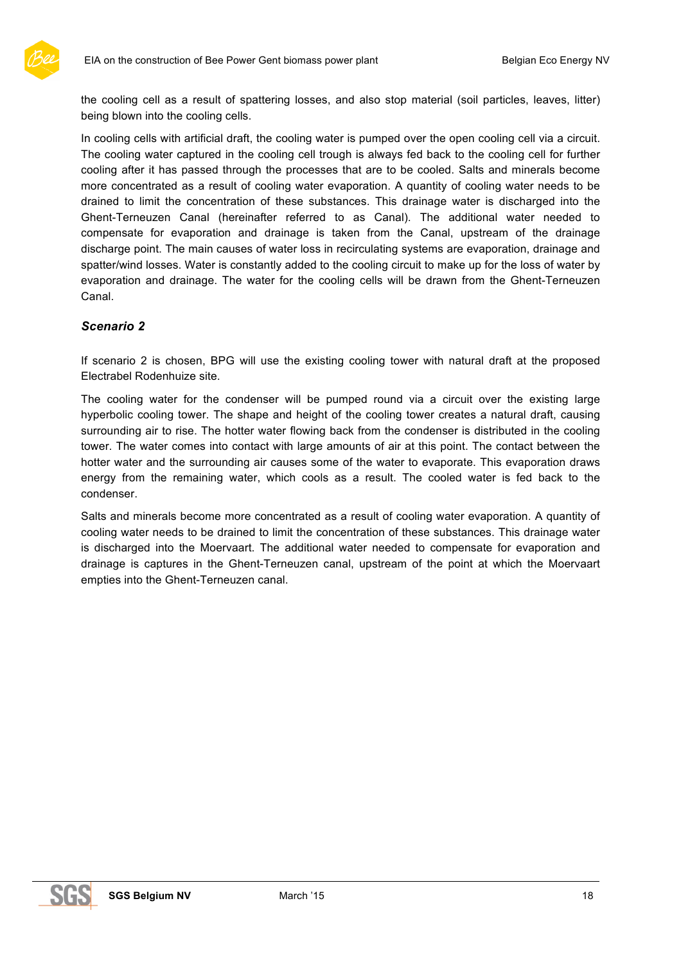

the cooling cell as a result of spattering losses, and also stop material (soil particles, leaves, litter) being blown into the cooling cells.

In cooling cells with artificial draft, the cooling water is pumped over the open cooling cell via a circuit. The cooling water captured in the cooling cell trough is always fed back to the cooling cell for further cooling after it has passed through the processes that are to be cooled. Salts and minerals become more concentrated as a result of cooling water evaporation. A quantity of cooling water needs to be drained to limit the concentration of these substances. This drainage water is discharged into the Ghent-Terneuzen Canal (hereinafter referred to as Canal). The additional water needed to compensate for evaporation and drainage is taken from the Canal, upstream of the drainage discharge point. The main causes of water loss in recirculating systems are evaporation, drainage and spatter/wind losses. Water is constantly added to the cooling circuit to make up for the loss of water by evaporation and drainage. The water for the cooling cells will be drawn from the Ghent-Terneuzen Canal.

#### *Scenario 2*

If scenario 2 is chosen, BPG will use the existing cooling tower with natural draft at the proposed Electrabel Rodenhuize site.

The cooling water for the condenser will be pumped round via a circuit over the existing large hyperbolic cooling tower. The shape and height of the cooling tower creates a natural draft, causing surrounding air to rise. The hotter water flowing back from the condenser is distributed in the cooling tower. The water comes into contact with large amounts of air at this point. The contact between the hotter water and the surrounding air causes some of the water to evaporate. This evaporation draws energy from the remaining water, which cools as a result. The cooled water is fed back to the condenser.

Salts and minerals become more concentrated as a result of cooling water evaporation. A quantity of cooling water needs to be drained to limit the concentration of these substances. This drainage water is discharged into the Moervaart. The additional water needed to compensate for evaporation and drainage is captures in the Ghent-Terneuzen canal, upstream of the point at which the Moervaart empties into the Ghent-Terneuzen canal.

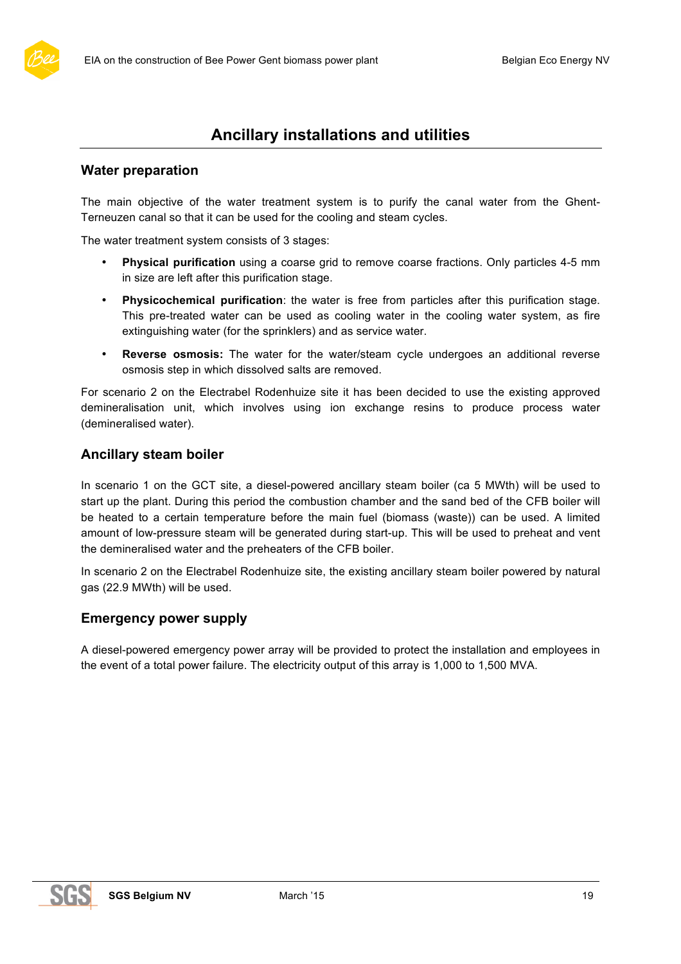

# **Water preparation**

The main objective of the water treatment system is to purify the canal water from the Ghent-Terneuzen canal so that it can be used for the cooling and steam cycles.

The water treatment system consists of 3 stages:

- **Physical purification** using a coarse grid to remove coarse fractions. Only particles 4-5 mm in size are left after this purification stage.
- **Physicochemical purification**: the water is free from particles after this purification stage. This pre-treated water can be used as cooling water in the cooling water system, as fire extinguishing water (for the sprinklers) and as service water.
- **Reverse osmosis:** The water for the water/steam cycle undergoes an additional reverse osmosis step in which dissolved salts are removed.

For scenario 2 on the Electrabel Rodenhuize site it has been decided to use the existing approved demineralisation unit, which involves using ion exchange resins to produce process water (demineralised water).

# **Ancillary steam boiler**

In scenario 1 on the GCT site, a diesel-powered ancillary steam boiler (ca 5 MWth) will be used to start up the plant. During this period the combustion chamber and the sand bed of the CFB boiler will be heated to a certain temperature before the main fuel (biomass (waste)) can be used. A limited amount of low-pressure steam will be generated during start-up. This will be used to preheat and vent the demineralised water and the preheaters of the CFB boiler.

In scenario 2 on the Electrabel Rodenhuize site, the existing ancillary steam boiler powered by natural gas (22.9 MWth) will be used.

### **Emergency power supply**

A diesel-powered emergency power array will be provided to protect the installation and employees in the event of a total power failure. The electricity output of this array is 1,000 to 1,500 MVA.

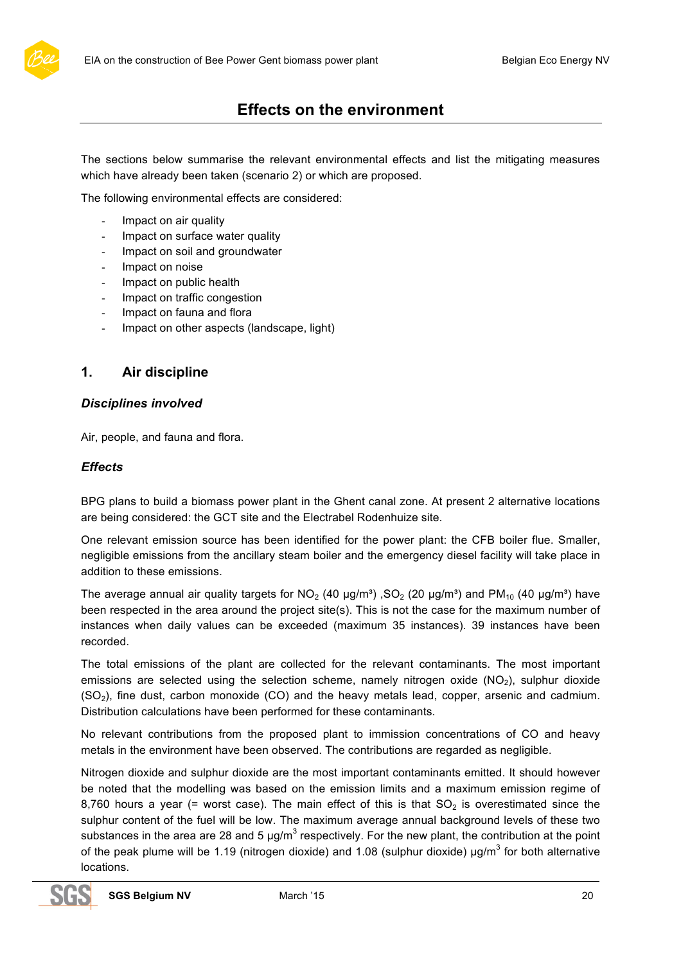

The sections below summarise the relevant environmental effects and list the mitigating measures which have already been taken (scenario 2) or which are proposed.

The following environmental effects are considered:

- Impact on air quality
- Impact on surface water quality
- Impact on soil and groundwater
- Impact on noise
- Impact on public health
- Impact on traffic congestion
- Impact on fauna and flora
- Impact on other aspects (landscape, light)

# **1. Air discipline**

#### *Disciplines involved*

Air, people, and fauna and flora.

#### *Effects*

BPG plans to build a biomass power plant in the Ghent canal zone. At present 2 alternative locations are being considered: the GCT site and the Electrabel Rodenhuize site.

One relevant emission source has been identified for the power plant: the CFB boiler flue. Smaller, negligible emissions from the ancillary steam boiler and the emergency diesel facility will take place in addition to these emissions.

The average annual air quality targets for  $NO<sub>2</sub>$  (40 µg/m<sup>3</sup>), SO<sub>2</sub> (20 µg/m<sup>3</sup>) and PM<sub>10</sub> (40 µg/m<sup>3</sup>) have been respected in the area around the project site(s). This is not the case for the maximum number of instances when daily values can be exceeded (maximum 35 instances). 39 instances have been recorded.

The total emissions of the plant are collected for the relevant contaminants. The most important emissions are selected using the selection scheme, namely nitrogen oxide  $(NO<sub>2</sub>)$ , sulphur dioxide (SO2), fine dust, carbon monoxide (CO) and the heavy metals lead, copper, arsenic and cadmium. Distribution calculations have been performed for these contaminants.

No relevant contributions from the proposed plant to immission concentrations of CO and heavy metals in the environment have been observed. The contributions are regarded as negligible.

Nitrogen dioxide and sulphur dioxide are the most important contaminants emitted. It should however be noted that the modelling was based on the emission limits and a maximum emission regime of 8,760 hours a year (= worst case). The main effect of this is that  $SO<sub>2</sub>$  is overestimated since the sulphur content of the fuel will be low. The maximum average annual background levels of these two substances in the area are 28 and 5  $\mu$ g/m<sup>3</sup> respectively. For the new plant, the contribution at the point of the peak plume will be 1.19 (nitrogen dioxide) and 1.08 (sulphur dioxide)  $\mu$ g/m<sup>3</sup> for both alternative locations.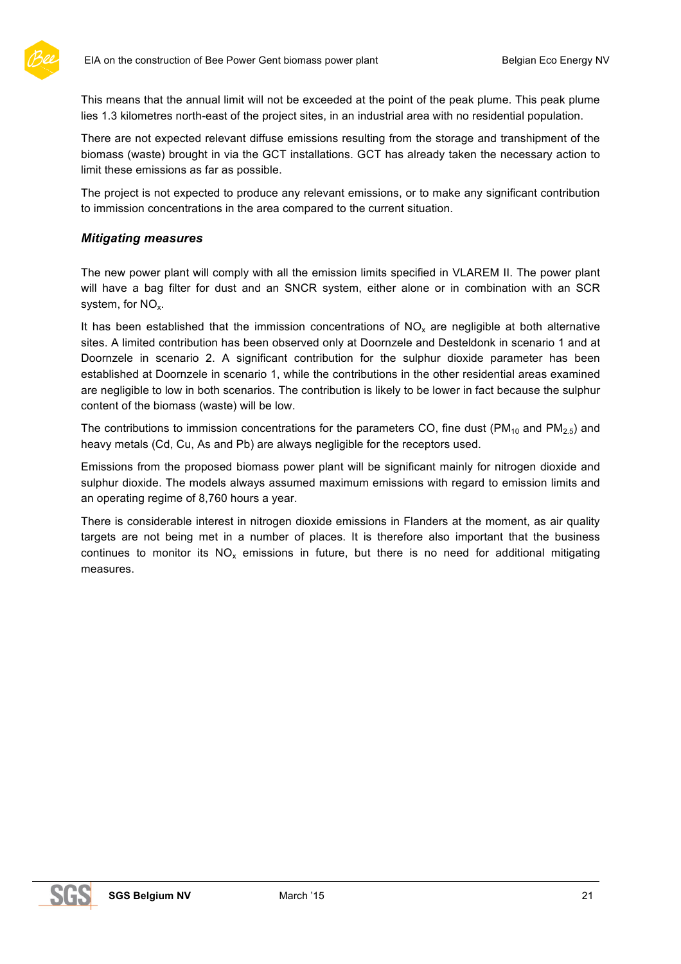

This means that the annual limit will not be exceeded at the point of the peak plume. This peak plume lies 1.3 kilometres north-east of the project sites, in an industrial area with no residential population.

There are not expected relevant diffuse emissions resulting from the storage and transhipment of the biomass (waste) brought in via the GCT installations. GCT has already taken the necessary action to limit these emissions as far as possible.

The project is not expected to produce any relevant emissions, or to make any significant contribution to immission concentrations in the area compared to the current situation.

#### *Mitigating measures*

The new power plant will comply with all the emission limits specified in VLAREM II. The power plant will have a bag filter for dust and an SNCR system, either alone or in combination with an SCR system, for  $NO<sub>x</sub>$ .

It has been established that the immission concentrations of  $NO<sub>x</sub>$  are negligible at both alternative sites. A limited contribution has been observed only at Doornzele and Desteldonk in scenario 1 and at Doornzele in scenario 2. A significant contribution for the sulphur dioxide parameter has been established at Doornzele in scenario 1, while the contributions in the other residential areas examined are negligible to low in both scenarios. The contribution is likely to be lower in fact because the sulphur content of the biomass (waste) will be low.

The contributions to immission concentrations for the parameters CO, fine dust ( $PM_{10}$  and  $PM_{2.5}$ ) and heavy metals (Cd, Cu, As and Pb) are always negligible for the receptors used.

Emissions from the proposed biomass power plant will be significant mainly for nitrogen dioxide and sulphur dioxide. The models always assumed maximum emissions with regard to emission limits and an operating regime of 8,760 hours a year.

There is considerable interest in nitrogen dioxide emissions in Flanders at the moment, as air quality targets are not being met in a number of places. It is therefore also important that the business continues to monitor its  $NO<sub>x</sub>$  emissions in future, but there is no need for additional mitigating measures.

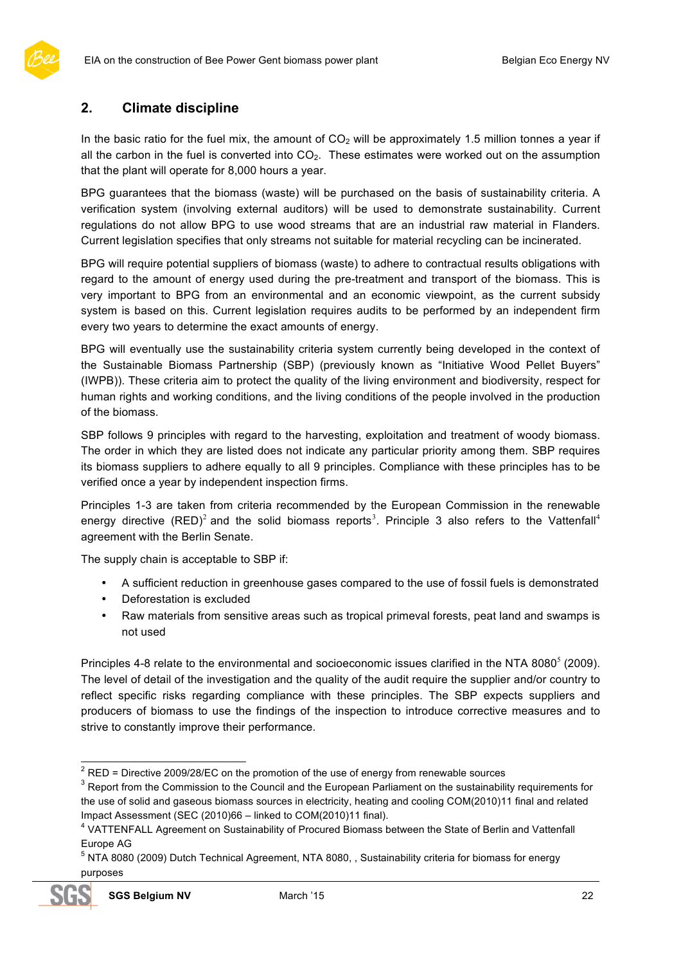# **2. Climate discipline**

In the basic ratio for the fuel mix, the amount of  $CO<sub>2</sub>$  will be approximately 1.5 million tonnes a year if all the carbon in the fuel is converted into  $CO<sub>2</sub>$ . These estimates were worked out on the assumption that the plant will operate for 8,000 hours a year.

BPG guarantees that the biomass (waste) will be purchased on the basis of sustainability criteria. A verification system (involving external auditors) will be used to demonstrate sustainability. Current regulations do not allow BPG to use wood streams that are an industrial raw material in Flanders. Current legislation specifies that only streams not suitable for material recycling can be incinerated.

BPG will require potential suppliers of biomass (waste) to adhere to contractual results obligations with regard to the amount of energy used during the pre-treatment and transport of the biomass. This is very important to BPG from an environmental and an economic viewpoint, as the current subsidy system is based on this. Current legislation requires audits to be performed by an independent firm every two years to determine the exact amounts of energy.

BPG will eventually use the sustainability criteria system currently being developed in the context of the Sustainable Biomass Partnership (SBP) (previously known as "Initiative Wood Pellet Buyers" (IWPB)). These criteria aim to protect the quality of the living environment and biodiversity, respect for human rights and working conditions, and the living conditions of the people involved in the production of the biomass.

SBP follows 9 principles with regard to the harvesting, exploitation and treatment of woody biomass. The order in which they are listed does not indicate any particular priority among them. SBP requires its biomass suppliers to adhere equally to all 9 principles. Compliance with these principles has to be verified once a year by independent inspection firms.

Principles 1-3 are taken from criteria recommended by the European Commission in the renewable energy directive (RED)<sup>2</sup> and the solid biomass reports<sup>3</sup>. Principle 3 also refers to the Vattenfall<sup>4</sup> agreement with the Berlin Senate.

The supply chain is acceptable to SBP if:

- A sufficient reduction in greenhouse gases compared to the use of fossil fuels is demonstrated
- Deforestation is excluded
- Raw materials from sensitive areas such as tropical primeval forests, peat land and swamps is not used

Principles 4-8 relate to the environmental and socioeconomic issues clarified in the NTA 8080 $^5$  (2009). The level of detail of the investigation and the quality of the audit require the supplier and/or country to reflect specific risks regarding compliance with these principles. The SBP expects suppliers and producers of biomass to use the findings of the inspection to introduce corrective measures and to strive to constantly improve their performance.

<sup>&</sup>lt;sup>2</sup> RED = Directive 2009/28/EC on the promotion of the use of energy from renewable sources<br><sup>3</sup> Report from the Commission to the Council and the European Parliament on the sustainability requirements for the use of solid and gaseous biomass sources in electricity, heating and cooling COM(2010)11 final and related

Impact Assessment (SEC (2010)66 – linked to COM(2010)11 final).<br><sup>4</sup> VATTENFALL Agreement on Sustainability of Procured Biomass between the State of Berlin and Vattenfall Europe AG<br><sup>5</sup> NTA 8080 (2009) Dutch Technical Agreement, NTA 8080, , Sustainability criteria for biomass for energy

purposes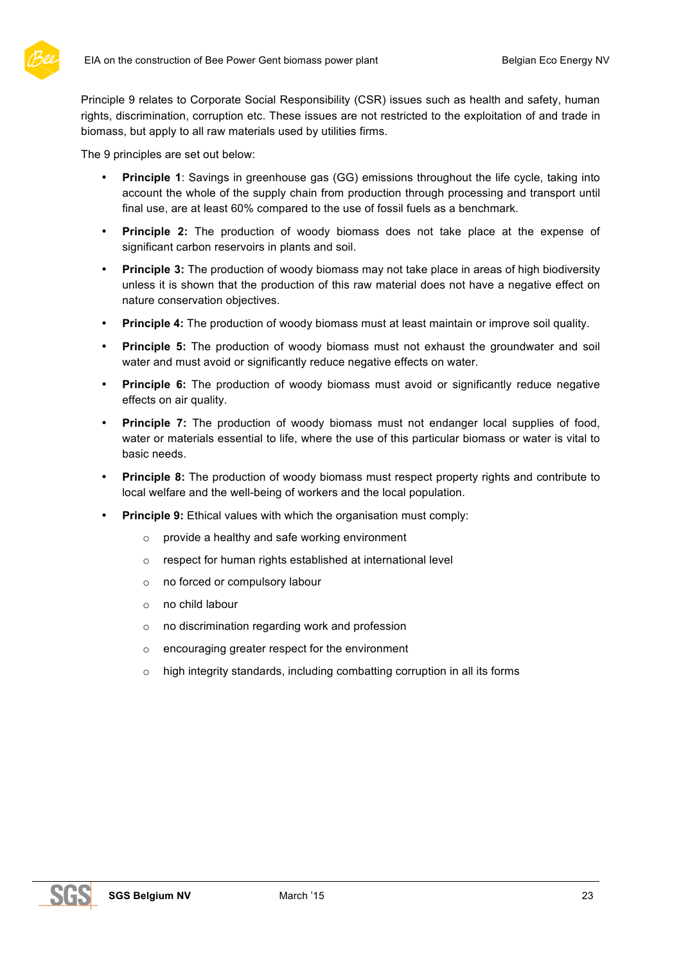

Principle 9 relates to Corporate Social Responsibility (CSR) issues such as health and safety, human rights, discrimination, corruption etc. These issues are not restricted to the exploitation of and trade in biomass, but apply to all raw materials used by utilities firms.

The 9 principles are set out below:

- **Principle 1**: Savings in greenhouse gas (GG) emissions throughout the life cycle, taking into account the whole of the supply chain from production through processing and transport until final use, are at least 60% compared to the use of fossil fuels as a benchmark.
- **Principle 2:** The production of woody biomass does not take place at the expense of significant carbon reservoirs in plants and soil.
- **Principle 3:** The production of woody biomass may not take place in areas of high biodiversity unless it is shown that the production of this raw material does not have a negative effect on nature conservation objectives.
- **Principle 4:** The production of woody biomass must at least maintain or improve soil quality.
- **Principle 5:** The production of woody biomass must not exhaust the groundwater and soil water and must avoid or significantly reduce negative effects on water.
- **Principle 6:** The production of woody biomass must avoid or significantly reduce negative effects on air quality.
- **Principle 7:** The production of woody biomass must not endanger local supplies of food, water or materials essential to life, where the use of this particular biomass or water is vital to basic needs.
- **Principle 8:** The production of woody biomass must respect property rights and contribute to local welfare and the well-being of workers and the local population.
- **Principle 9:** Ethical values with which the organisation must comply:
	- o provide a healthy and safe working environment
	- o respect for human rights established at international level
	- o no forced or compulsory labour
	- o no child labour
	- $\circ$  no discrimination regarding work and profession
	- o encouraging greater respect for the environment
	- $\circ$  high integrity standards, including combatting corruption in all its forms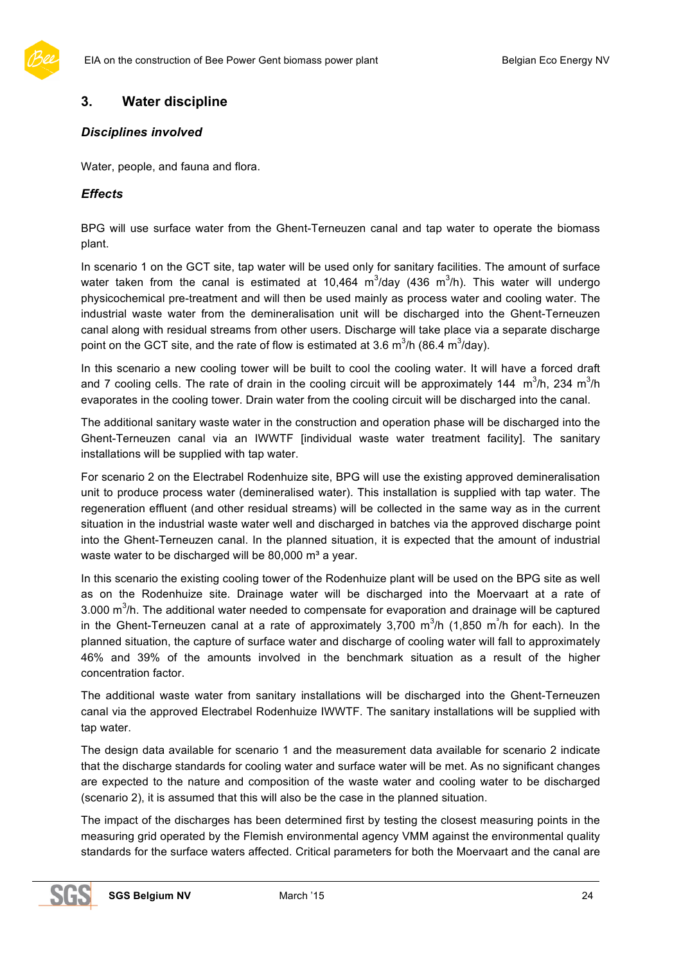

# **3. Water discipline**

#### *Disciplines involved*

Water, people, and fauna and flora.

#### *Effects*

BPG will use surface water from the Ghent-Terneuzen canal and tap water to operate the biomass plant.

In scenario 1 on the GCT site, tap water will be used only for sanitary facilities. The amount of surface water taken from the canal is estimated at 10,464  $\text{m}^3$ /day (436  $\text{m}^3$ /h). This water will undergo physicochemical pre-treatment and will then be used mainly as process water and cooling water. The industrial waste water from the demineralisation unit will be discharged into the Ghent-Terneuzen canal along with residual streams from other users. Discharge will take place via a separate discharge point on the GCT site, and the rate of flow is estimated at 3.6 m<sup>3</sup>/h (86.4 m<sup>3</sup>/day).

In this scenario a new cooling tower will be built to cool the cooling water. It will have a forced draft and 7 cooling cells. The rate of drain in the cooling circuit will be approximately 144  $m^3/h$ , 234  $m^3/h$ evaporates in the cooling tower. Drain water from the cooling circuit will be discharged into the canal.

The additional sanitary waste water in the construction and operation phase will be discharged into the Ghent-Terneuzen canal via an IWWTF [individual waste water treatment facility]. The sanitary installations will be supplied with tap water.

For scenario 2 on the Electrabel Rodenhuize site, BPG will use the existing approved demineralisation unit to produce process water (demineralised water). This installation is supplied with tap water. The regeneration effluent (and other residual streams) will be collected in the same way as in the current situation in the industrial waste water well and discharged in batches via the approved discharge point into the Ghent-Terneuzen canal. In the planned situation, it is expected that the amount of industrial waste water to be discharged will be 80,000 m<sup>3</sup> a year.

In this scenario the existing cooling tower of the Rodenhuize plant will be used on the BPG site as well as on the Rodenhuize site. Drainage water will be discharged into the Moervaart at a rate of 3.000 m<sup>3</sup>/h. The additional water needed to compensate for evaporation and drainage will be captured in the Ghent-Terneuzen canal at a rate of approximately 3,700 m<sup>3</sup>/h (1,850 m<sup>3</sup>/h for each). In the planned situation, the capture of surface water and discharge of cooling water will fall to approximately 46% and 39% of the amounts involved in the benchmark situation as a result of the higher concentration factor.

The additional waste water from sanitary installations will be discharged into the Ghent-Terneuzen canal via the approved Electrabel Rodenhuize IWWTF. The sanitary installations will be supplied with tap water.

The design data available for scenario 1 and the measurement data available for scenario 2 indicate that the discharge standards for cooling water and surface water will be met. As no significant changes are expected to the nature and composition of the waste water and cooling water to be discharged (scenario 2), it is assumed that this will also be the case in the planned situation.

The impact of the discharges has been determined first by testing the closest measuring points in the measuring grid operated by the Flemish environmental agency VMM against the environmental quality standards for the surface waters affected. Critical parameters for both the Moervaart and the canal are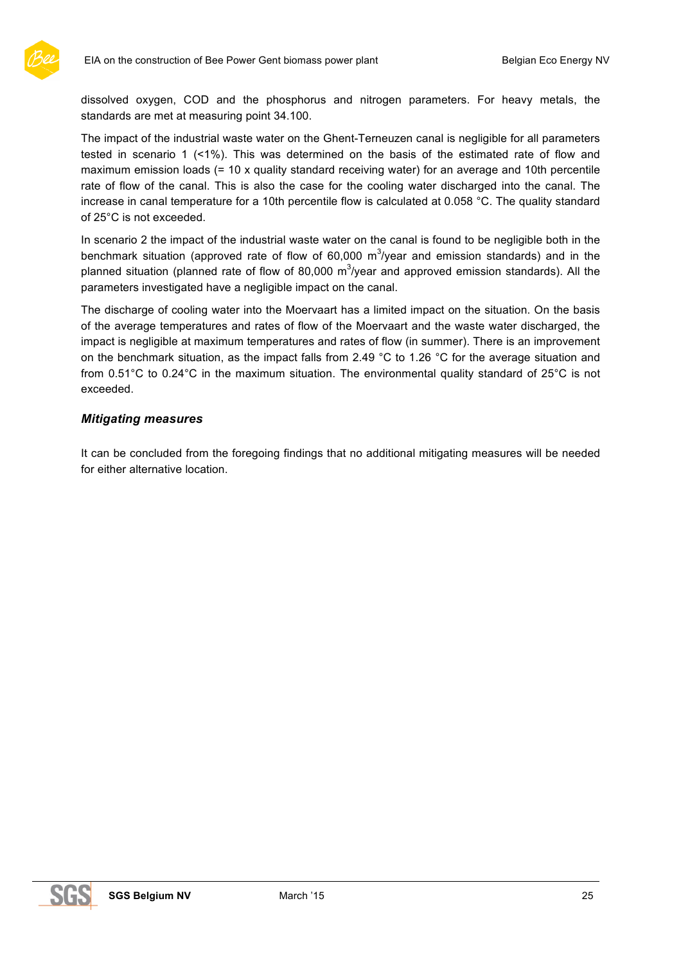dissolved oxygen, COD and the phosphorus and nitrogen parameters. For heavy metals, the standards are met at measuring point 34.100.

The impact of the industrial waste water on the Ghent-Terneuzen canal is negligible for all parameters tested in scenario 1 (<1%). This was determined on the basis of the estimated rate of flow and maximum emission loads (= 10 x quality standard receiving water) for an average and 10th percentile rate of flow of the canal. This is also the case for the cooling water discharged into the canal. The increase in canal temperature for a 10th percentile flow is calculated at 0.058 °C. The quality standard of 25°C is not exceeded.

In scenario 2 the impact of the industrial waste water on the canal is found to be negligible both in the benchmark situation (approved rate of flow of 60,000 m<sup>3</sup>/year and emission standards) and in the planned situation (planned rate of flow of 80,000 m<sup>3</sup>/year and approved emission standards). All the parameters investigated have a negligible impact on the canal.

The discharge of cooling water into the Moervaart has a limited impact on the situation. On the basis of the average temperatures and rates of flow of the Moervaart and the waste water discharged, the impact is negligible at maximum temperatures and rates of flow (in summer). There is an improvement on the benchmark situation, as the impact falls from 2.49 °C to 1.26 °C for the average situation and from 0.51°C to 0.24°C in the maximum situation. The environmental quality standard of 25°C is not exceeded.

#### *Mitigating measures*

It can be concluded from the foregoing findings that no additional mitigating measures will be needed for either alternative location.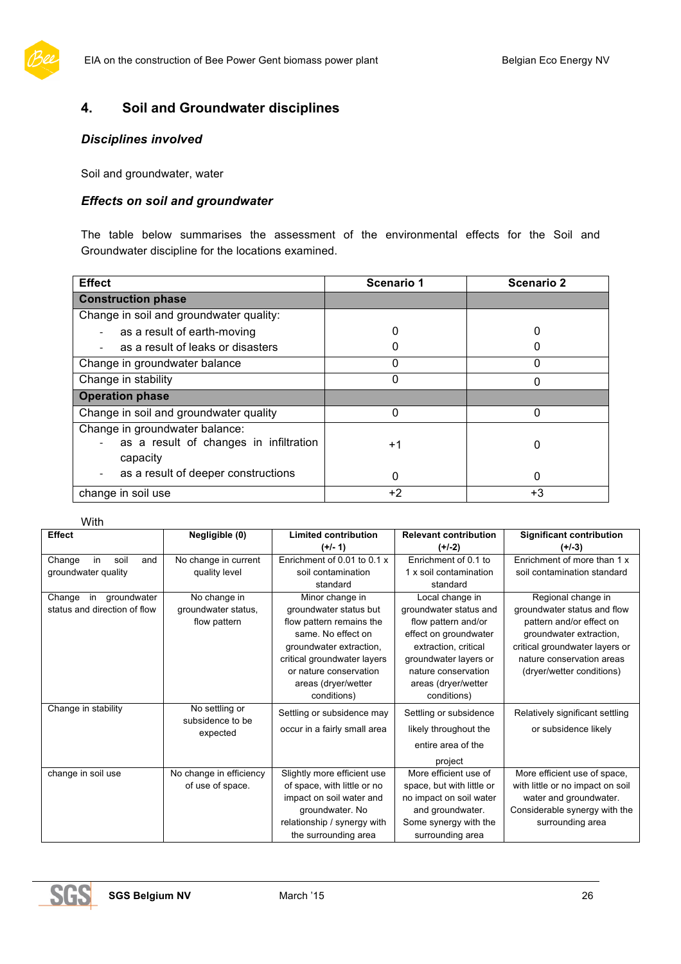

# **4. Soil and Groundwater disciplines**

#### *Disciplines involved*

Soil and groundwater, water

#### *Effects on soil and groundwater*

The table below summarises the assessment of the environmental effects for the Soil and Groundwater discipline for the locations examined.

| <b>Effect</b>                                                                        | <b>Scenario 1</b> | <b>Scenario 2</b> |
|--------------------------------------------------------------------------------------|-------------------|-------------------|
| <b>Construction phase</b>                                                            |                   |                   |
| Change in soil and groundwater quality:                                              |                   |                   |
| as a result of earth-moving                                                          |                   |                   |
| as a result of leaks or disasters                                                    |                   |                   |
| Change in groundwater balance                                                        |                   |                   |
| Change in stability                                                                  |                   |                   |
| <b>Operation phase</b>                                                               |                   |                   |
| Change in soil and groundwater quality                                               |                   | 0                 |
| Change in groundwater balance:<br>as a result of changes in infiltration<br>capacity | $+1$              | 0                 |
| as a result of deeper constructions                                                  | ი                 | 0                 |
| change in soil use                                                                   | $+2$              | $+3$              |

#### With

| <b>Effect</b>                | Negligible (0)                     | <b>Limited contribution</b>  | <b>Relevant contribution</b> | <b>Significant contribution</b>  |
|------------------------------|------------------------------------|------------------------------|------------------------------|----------------------------------|
|                              |                                    | $(+/- 1)$                    | $(+/-2)$                     | $(+/-3)$                         |
| in<br>Change<br>soil<br>and  | No change in current               | Enrichment of 0.01 to 0.1 x  | Enrichment of 0.1 to         | Enrichment of more than 1 x      |
| groundwater quality          | quality level                      | soil contamination           | 1 x soil contamination       | soil contamination standard      |
|                              |                                    | standard                     | standard                     |                                  |
| in groundwater<br>Change     | No change in                       | Minor change in              | Local change in              | Regional change in               |
| status and direction of flow | groundwater status,                | groundwater status but       | groundwater status and       | groundwater status and flow      |
|                              | flow pattern                       | flow pattern remains the     | flow pattern and/or          | pattern and/or effect on         |
|                              |                                    | same. No effect on           | effect on groundwater        | groundwater extraction,          |
|                              |                                    | groundwater extraction,      | extraction, critical         | critical groundwater layers or   |
|                              |                                    | critical groundwater layers  | groundwater layers or        | nature conservation areas        |
|                              |                                    | or nature conservation       | nature conservation          | (dryer/wetter conditions)        |
|                              |                                    | areas (dryer/wetter          | areas (dryer/wetter          |                                  |
|                              |                                    | conditions)                  | conditions)                  |                                  |
| Change in stability          | No settling or<br>subsidence to be | Settling or subsidence may   | Settling or subsidence       | Relatively significant settling  |
|                              | expected                           | occur in a fairly small area | likely throughout the        | or subsidence likely             |
|                              |                                    |                              | entire area of the           |                                  |
|                              |                                    |                              | project                      |                                  |
| change in soil use           | No change in efficiency            | Slightly more efficient use  | More efficient use of        | More efficient use of space,     |
|                              | of use of space.                   | of space, with little or no  | space, but with little or    | with little or no impact on soil |
|                              |                                    | impact on soil water and     | no impact on soil water      | water and groundwater.           |
|                              |                                    | groundwater. No              | and groundwater.             | Considerable synergy with the    |
|                              |                                    | relationship / synergy with  | Some synergy with the        | surrounding area                 |
|                              |                                    | the surrounding area         | surrounding area             |                                  |

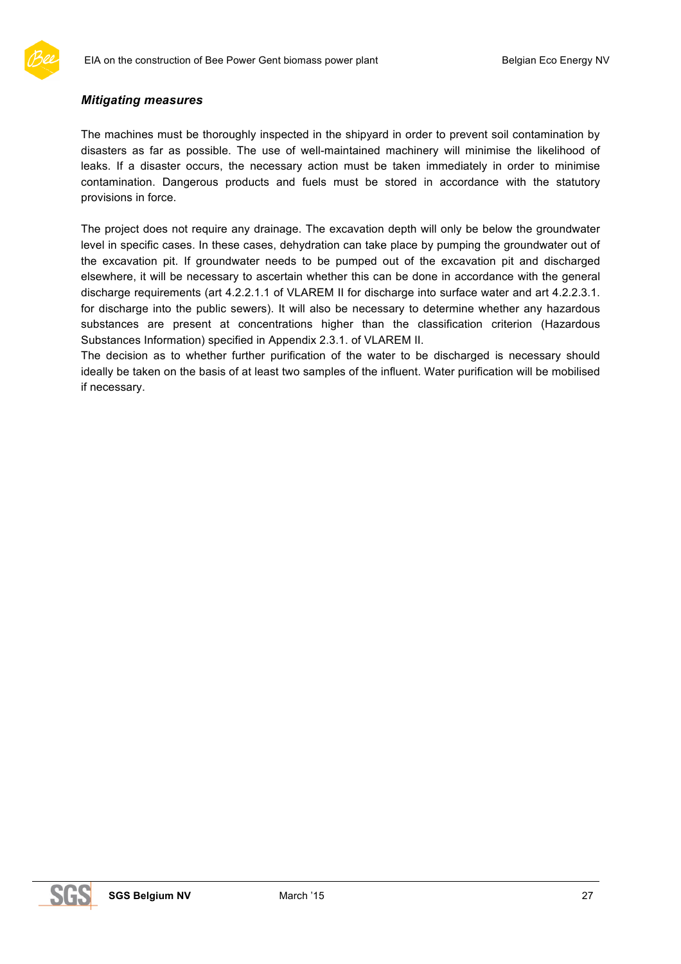

#### *Mitigating measures*

The machines must be thoroughly inspected in the shipyard in order to prevent soil contamination by disasters as far as possible. The use of well-maintained machinery will minimise the likelihood of leaks. If a disaster occurs, the necessary action must be taken immediately in order to minimise contamination. Dangerous products and fuels must be stored in accordance with the statutory provisions in force.

The project does not require any drainage. The excavation depth will only be below the groundwater level in specific cases. In these cases, dehydration can take place by pumping the groundwater out of the excavation pit. If groundwater needs to be pumped out of the excavation pit and discharged elsewhere, it will be necessary to ascertain whether this can be done in accordance with the general discharge requirements (art 4.2.2.1.1 of VLAREM II for discharge into surface water and art 4.2.2.3.1. for discharge into the public sewers). It will also be necessary to determine whether any hazardous substances are present at concentrations higher than the classification criterion (Hazardous Substances Information) specified in Appendix 2.3.1. of VLAREM II.

The decision as to whether further purification of the water to be discharged is necessary should ideally be taken on the basis of at least two samples of the influent. Water purification will be mobilised if necessary.

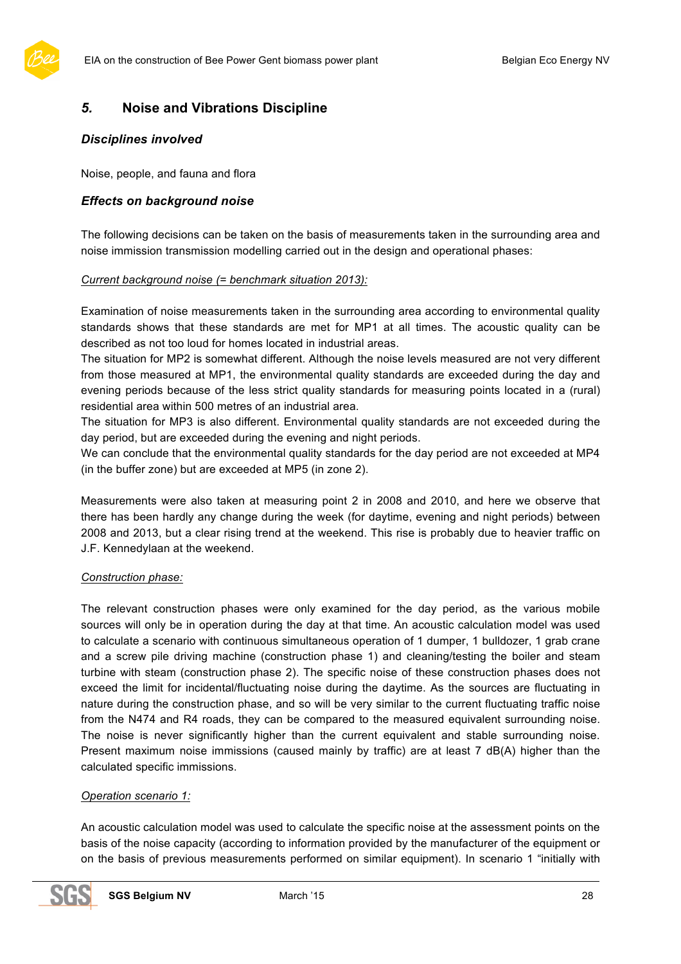

### *5.* **Noise and Vibrations Discipline**

#### *Disciplines involved*

Noise, people, and fauna and flora

#### *Effects on background noise*

The following decisions can be taken on the basis of measurements taken in the surrounding area and noise immission transmission modelling carried out in the design and operational phases:

#### *Current background noise (= benchmark situation 2013):*

Examination of noise measurements taken in the surrounding area according to environmental quality standards shows that these standards are met for MP1 at all times. The acoustic quality can be described as not too loud for homes located in industrial areas.

The situation for MP2 is somewhat different. Although the noise levels measured are not very different from those measured at MP1, the environmental quality standards are exceeded during the day and evening periods because of the less strict quality standards for measuring points located in a (rural) residential area within 500 metres of an industrial area.

The situation for MP3 is also different. Environmental quality standards are not exceeded during the day period, but are exceeded during the evening and night periods.

We can conclude that the environmental quality standards for the day period are not exceeded at MP4 (in the buffer zone) but are exceeded at MP5 (in zone 2).

Measurements were also taken at measuring point 2 in 2008 and 2010, and here we observe that there has been hardly any change during the week (for daytime, evening and night periods) between 2008 and 2013, but a clear rising trend at the weekend. This rise is probably due to heavier traffic on J.F. Kennedylaan at the weekend.

#### *Construction phase:*

The relevant construction phases were only examined for the day period, as the various mobile sources will only be in operation during the day at that time. An acoustic calculation model was used to calculate a scenario with continuous simultaneous operation of 1 dumper, 1 bulldozer, 1 grab crane and a screw pile driving machine (construction phase 1) and cleaning/testing the boiler and steam turbine with steam (construction phase 2). The specific noise of these construction phases does not exceed the limit for incidental/fluctuating noise during the daytime. As the sources are fluctuating in nature during the construction phase, and so will be very similar to the current fluctuating traffic noise from the N474 and R4 roads, they can be compared to the measured equivalent surrounding noise. The noise is never significantly higher than the current equivalent and stable surrounding noise. Present maximum noise immissions (caused mainly by traffic) are at least 7 dB(A) higher than the calculated specific immissions.

#### *Operation scenario 1:*

An acoustic calculation model was used to calculate the specific noise at the assessment points on the basis of the noise capacity (according to information provided by the manufacturer of the equipment or on the basis of previous measurements performed on similar equipment). In scenario 1 "initially with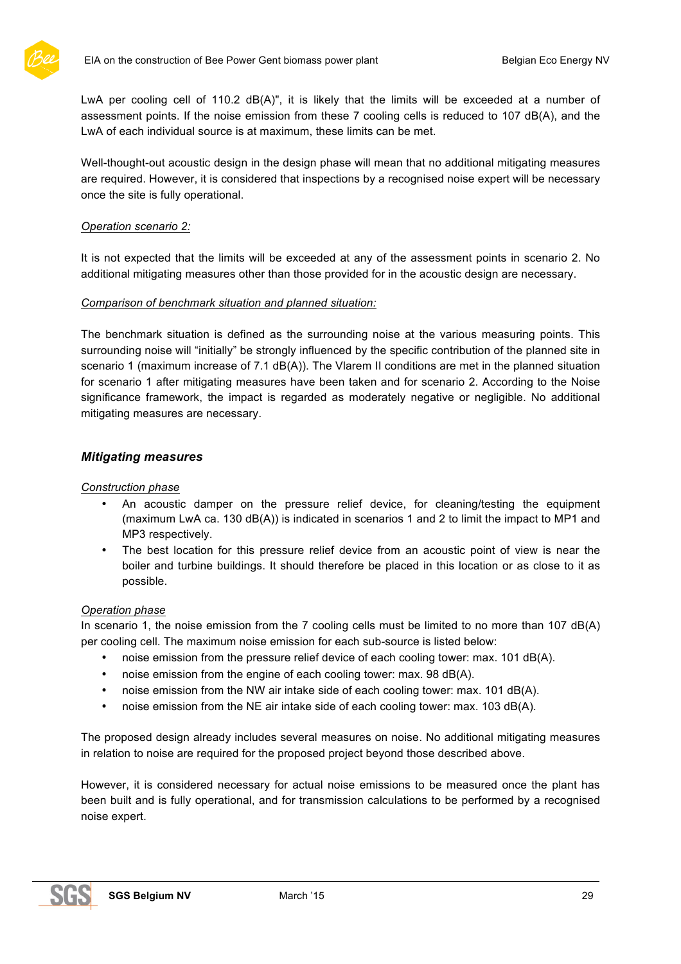

LwA per cooling cell of 110.2 dB(A)", it is likely that the limits will be exceeded at a number of assessment points. If the noise emission from these 7 cooling cells is reduced to 107 dB(A), and the LwA of each individual source is at maximum, these limits can be met.

Well-thought-out acoustic design in the design phase will mean that no additional mitigating measures are required. However, it is considered that inspections by a recognised noise expert will be necessary once the site is fully operational.

#### *Operation scenario 2:*

It is not expected that the limits will be exceeded at any of the assessment points in scenario 2. No additional mitigating measures other than those provided for in the acoustic design are necessary.

#### *Comparison of benchmark situation and planned situation:*

The benchmark situation is defined as the surrounding noise at the various measuring points. This surrounding noise will "initially" be strongly influenced by the specific contribution of the planned site in scenario 1 (maximum increase of 7.1 dB(A)). The Vlarem II conditions are met in the planned situation for scenario 1 after mitigating measures have been taken and for scenario 2. According to the Noise significance framework, the impact is regarded as moderately negative or negligible. No additional mitigating measures are necessary.

#### *Mitigating measures*

#### *Construction phase*

- An acoustic damper on the pressure relief device, for cleaning/testing the equipment (maximum LwA ca. 130 dB(A)) is indicated in scenarios 1 and 2 to limit the impact to MP1 and MP3 respectively.
- The best location for this pressure relief device from an acoustic point of view is near the boiler and turbine buildings. It should therefore be placed in this location or as close to it as possible.

#### *Operation phase*

In scenario 1, the noise emission from the 7 cooling cells must be limited to no more than 107 dB(A) per cooling cell. The maximum noise emission for each sub-source is listed below:

- noise emission from the pressure relief device of each cooling tower: max. 101 dB(A).
- noise emission from the engine of each cooling tower: max. 98 dB(A).
- noise emission from the NW air intake side of each cooling tower: max. 101 dB(A).
- noise emission from the NE air intake side of each cooling tower: max. 103 dB(A).

The proposed design already includes several measures on noise. No additional mitigating measures in relation to noise are required for the proposed project beyond those described above.

However, it is considered necessary for actual noise emissions to be measured once the plant has been built and is fully operational, and for transmission calculations to be performed by a recognised noise expert.

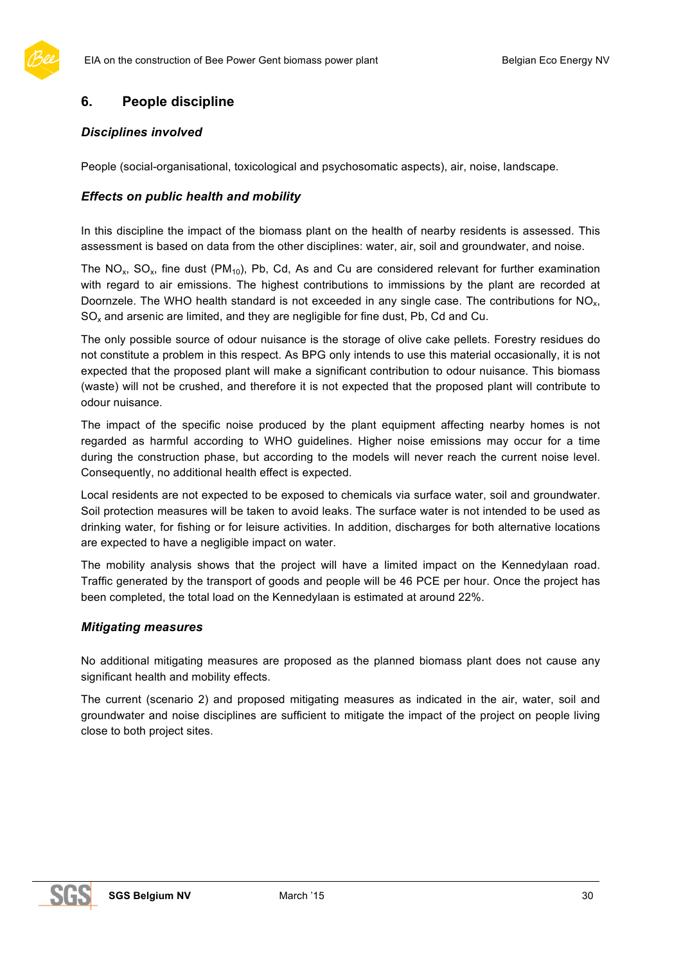

# **6. People discipline**

#### *Disciplines involved*

People (social-organisational, toxicological and psychosomatic aspects), air, noise, landscape.

#### *Effects on public health and mobility*

In this discipline the impact of the biomass plant on the health of nearby residents is assessed. This assessment is based on data from the other disciplines: water, air, soil and groundwater, and noise.

The NO<sub>x</sub>, SO<sub>x</sub>, fine dust (PM<sub>10</sub>), Pb, Cd, As and Cu are considered relevant for further examination with regard to air emissions. The highest contributions to immissions by the plant are recorded at Doornzele. The WHO health standard is not exceeded in any single case. The contributions for  $NO<sub>x</sub>$ ,  $SO_{x}$  and arsenic are limited, and they are negligible for fine dust, Pb, Cd and Cu.

The only possible source of odour nuisance is the storage of olive cake pellets. Forestry residues do not constitute a problem in this respect. As BPG only intends to use this material occasionally, it is not expected that the proposed plant will make a significant contribution to odour nuisance. This biomass (waste) will not be crushed, and therefore it is not expected that the proposed plant will contribute to odour nuisance.

The impact of the specific noise produced by the plant equipment affecting nearby homes is not regarded as harmful according to WHO guidelines. Higher noise emissions may occur for a time during the construction phase, but according to the models will never reach the current noise level. Consequently, no additional health effect is expected.

Local residents are not expected to be exposed to chemicals via surface water, soil and groundwater. Soil protection measures will be taken to avoid leaks. The surface water is not intended to be used as drinking water, for fishing or for leisure activities. In addition, discharges for both alternative locations are expected to have a negligible impact on water.

The mobility analysis shows that the project will have a limited impact on the Kennedylaan road. Traffic generated by the transport of goods and people will be 46 PCE per hour. Once the project has been completed, the total load on the Kennedylaan is estimated at around 22%.

#### *Mitigating measures*

No additional mitigating measures are proposed as the planned biomass plant does not cause any significant health and mobility effects.

The current (scenario 2) and proposed mitigating measures as indicated in the air, water, soil and groundwater and noise disciplines are sufficient to mitigate the impact of the project on people living close to both project sites.

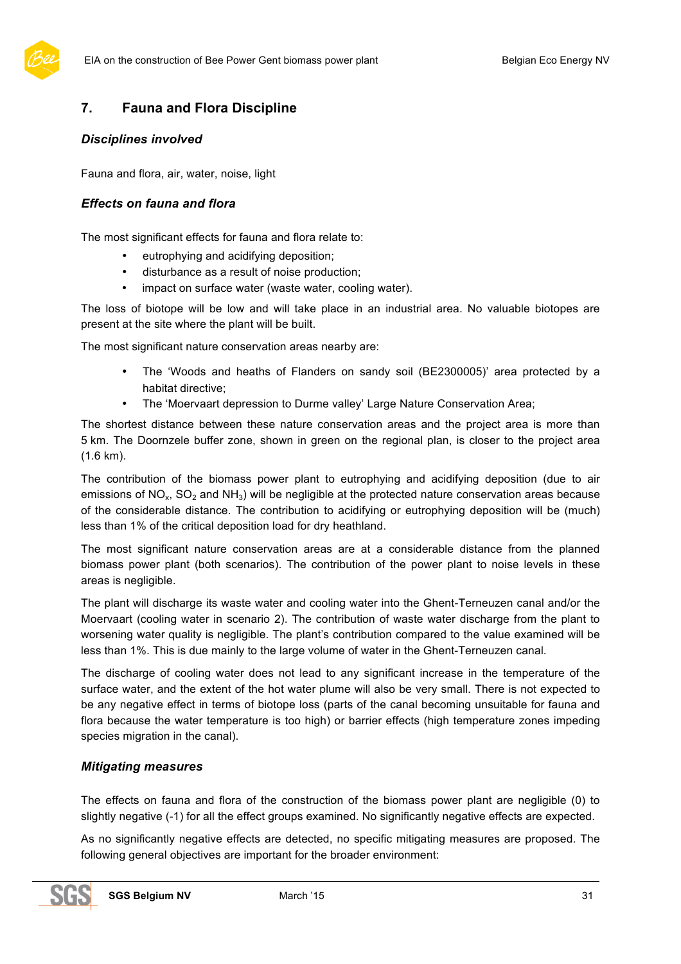

# **7. Fauna and Flora Discipline**

#### *Disciplines involved*

Fauna and flora, air, water, noise, light

#### *Effects on fauna and flora*

The most significant effects for fauna and flora relate to:

- eutrophying and acidifying deposition;
- disturbance as a result of noise production;
- impact on surface water (waste water, cooling water).

The loss of biotope will be low and will take place in an industrial area. No valuable biotopes are present at the site where the plant will be built.

The most significant nature conservation areas nearby are:

- The 'Woods and heaths of Flanders on sandy soil (BE2300005)' area protected by a habitat directive;
- The 'Moervaart depression to Durme valley' Large Nature Conservation Area;

The shortest distance between these nature conservation areas and the project area is more than 5 km. The Doornzele buffer zone, shown in green on the regional plan, is closer to the project area (1.6 km).

The contribution of the biomass power plant to eutrophying and acidifying deposition (due to air emissions of  $NO<sub>x</sub>$ ,  $SO<sub>2</sub>$  and  $NH<sub>3</sub>$ ) will be negligible at the protected nature conservation areas because of the considerable distance. The contribution to acidifying or eutrophying deposition will be (much) less than 1% of the critical deposition load for dry heathland.

The most significant nature conservation areas are at a considerable distance from the planned biomass power plant (both scenarios). The contribution of the power plant to noise levels in these areas is negligible.

The plant will discharge its waste water and cooling water into the Ghent-Terneuzen canal and/or the Moervaart (cooling water in scenario 2). The contribution of waste water discharge from the plant to worsening water quality is negligible. The plant's contribution compared to the value examined will be less than 1%. This is due mainly to the large volume of water in the Ghent-Terneuzen canal.

The discharge of cooling water does not lead to any significant increase in the temperature of the surface water, and the extent of the hot water plume will also be very small. There is not expected to be any negative effect in terms of biotope loss (parts of the canal becoming unsuitable for fauna and flora because the water temperature is too high) or barrier effects (high temperature zones impeding species migration in the canal).

### *Mitigating measures*

The effects on fauna and flora of the construction of the biomass power plant are negligible (0) to slightly negative (-1) for all the effect groups examined. No significantly negative effects are expected.

As no significantly negative effects are detected, no specific mitigating measures are proposed. The following general objectives are important for the broader environment: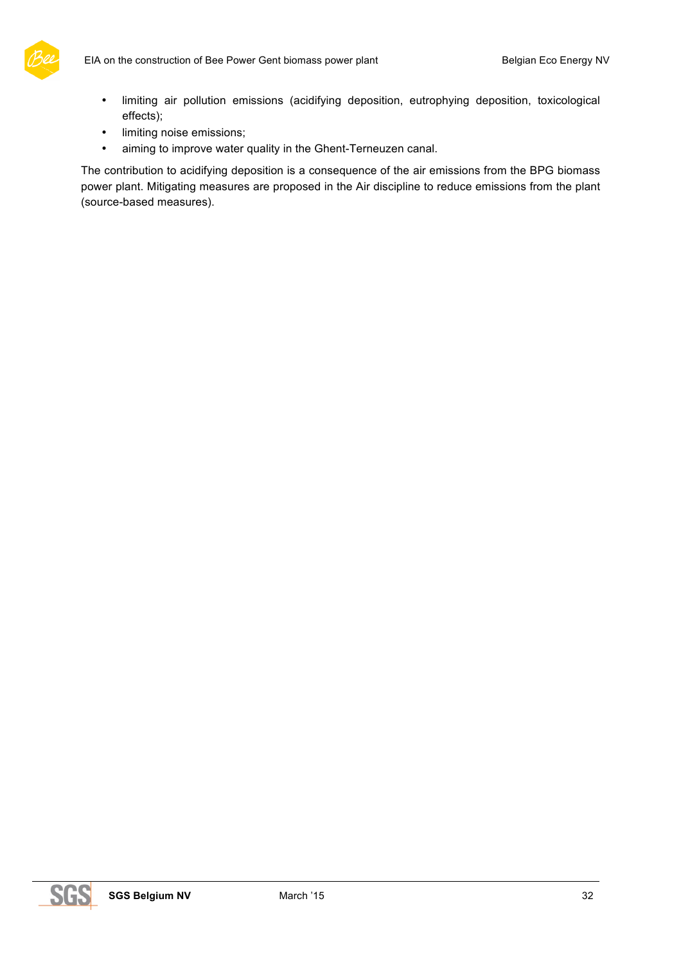

- limiting air pollution emissions (acidifying deposition, eutrophying deposition, toxicological effects);
- limiting noise emissions;
- aiming to improve water quality in the Ghent-Terneuzen canal.

The contribution to acidifying deposition is a consequence of the air emissions from the BPG biomass power plant. Mitigating measures are proposed in the Air discipline to reduce emissions from the plant (source-based measures).

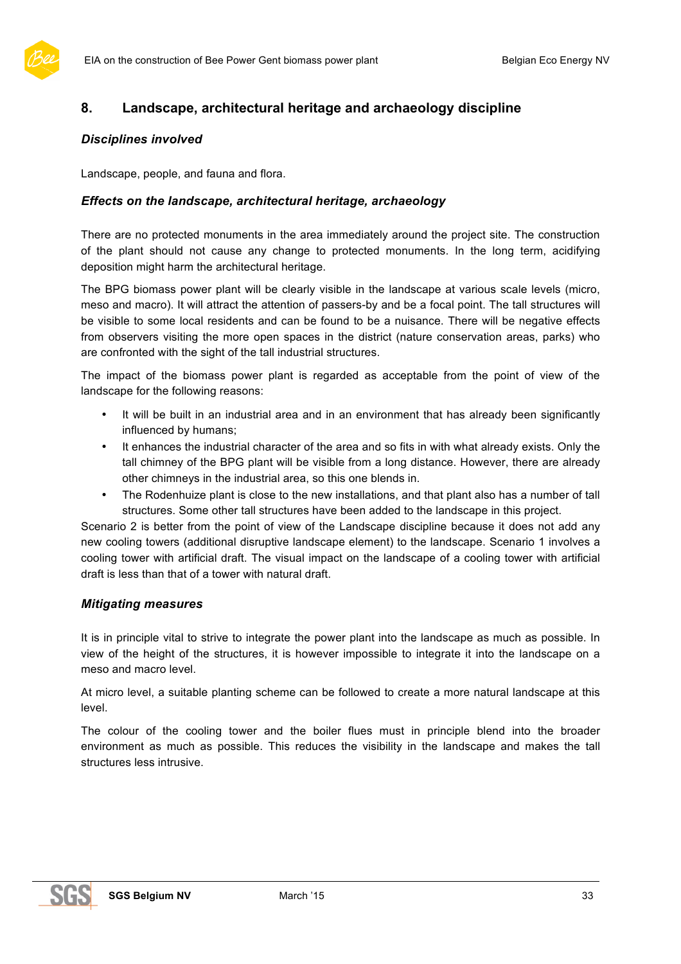

# **8. Landscape, architectural heritage and archaeology discipline**

#### *Disciplines involved*

Landscape, people, and fauna and flora.

#### *Effects on the landscape, architectural heritage, archaeology*

There are no protected monuments in the area immediately around the project site. The construction of the plant should not cause any change to protected monuments. In the long term, acidifying deposition might harm the architectural heritage.

The BPG biomass power plant will be clearly visible in the landscape at various scale levels (micro, meso and macro). It will attract the attention of passers-by and be a focal point. The tall structures will be visible to some local residents and can be found to be a nuisance. There will be negative effects from observers visiting the more open spaces in the district (nature conservation areas, parks) who are confronted with the sight of the tall industrial structures.

The impact of the biomass power plant is regarded as acceptable from the point of view of the landscape for the following reasons:

- It will be built in an industrial area and in an environment that has already been significantly influenced by humans;
- It enhances the industrial character of the area and so fits in with what already exists. Only the tall chimney of the BPG plant will be visible from a long distance. However, there are already other chimneys in the industrial area, so this one blends in.
- The Rodenhuize plant is close to the new installations, and that plant also has a number of tall structures. Some other tall structures have been added to the landscape in this project.

Scenario 2 is better from the point of view of the Landscape discipline because it does not add any new cooling towers (additional disruptive landscape element) to the landscape. Scenario 1 involves a cooling tower with artificial draft. The visual impact on the landscape of a cooling tower with artificial draft is less than that of a tower with natural draft.

#### *Mitigating measures*

It is in principle vital to strive to integrate the power plant into the landscape as much as possible. In view of the height of the structures, it is however impossible to integrate it into the landscape on a meso and macro level.

At micro level, a suitable planting scheme can be followed to create a more natural landscape at this level.

The colour of the cooling tower and the boiler flues must in principle blend into the broader environment as much as possible. This reduces the visibility in the landscape and makes the tall structures less intrusive.

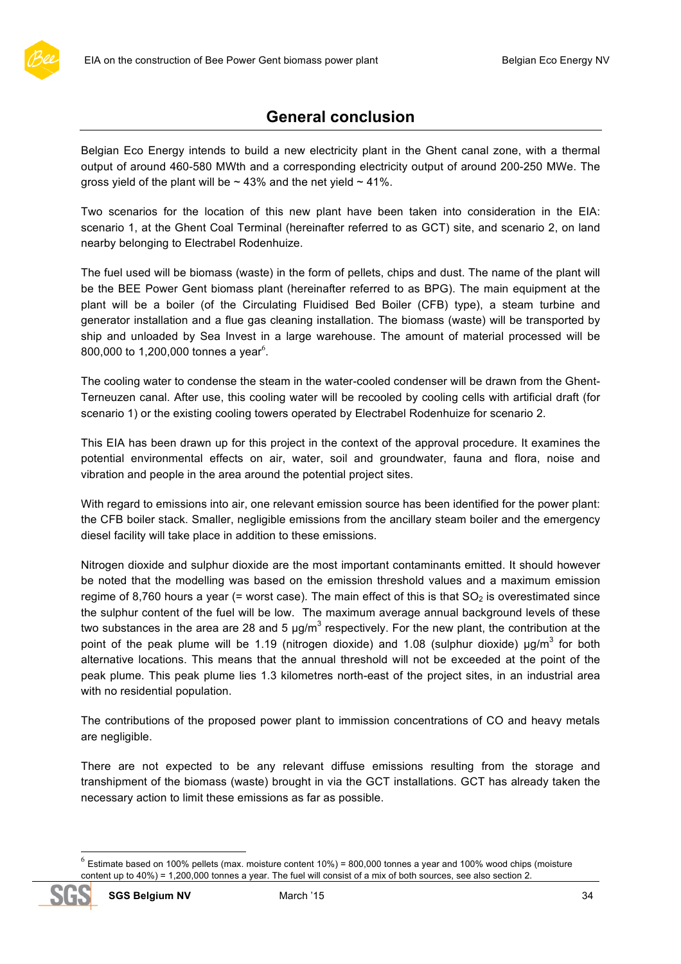# **General conclusion**

Belgian Eco Energy intends to build a new electricity plant in the Ghent canal zone, with a thermal output of around 460-580 MWth and a corresponding electricity output of around 200-250 MWe. The gross yield of the plant will be  $\sim$  43% and the net yield  $\sim$  41%.

Two scenarios for the location of this new plant have been taken into consideration in the EIA: scenario 1, at the Ghent Coal Terminal (hereinafter referred to as GCT) site, and scenario 2, on land nearby belonging to Electrabel Rodenhuize.

The fuel used will be biomass (waste) in the form of pellets, chips and dust. The name of the plant will be the BEE Power Gent biomass plant (hereinafter referred to as BPG). The main equipment at the plant will be a boiler (of the Circulating Fluidised Bed Boiler (CFB) type), a steam turbine and generator installation and a flue gas cleaning installation. The biomass (waste) will be transported by ship and unloaded by Sea Invest in a large warehouse. The amount of material processed will be 800,000 to 1,200,000 tonnes a year<sup>6</sup>.

The cooling water to condense the steam in the water-cooled condenser will be drawn from the Ghent-Terneuzen canal. After use, this cooling water will be recooled by cooling cells with artificial draft (for scenario 1) or the existing cooling towers operated by Electrabel Rodenhuize for scenario 2.

This EIA has been drawn up for this project in the context of the approval procedure. It examines the potential environmental effects on air, water, soil and groundwater, fauna and flora, noise and vibration and people in the area around the potential project sites.

With regard to emissions into air, one relevant emission source has been identified for the power plant: the CFB boiler stack. Smaller, negligible emissions from the ancillary steam boiler and the emergency diesel facility will take place in addition to these emissions.

Nitrogen dioxide and sulphur dioxide are the most important contaminants emitted. It should however be noted that the modelling was based on the emission threshold values and a maximum emission regime of 8,760 hours a year (= worst case). The main effect of this is that  $SO<sub>2</sub>$  is overestimated since the sulphur content of the fuel will be low. The maximum average annual background levels of these two substances in the area are 28 and 5  $\mu$ g/m<sup>3</sup> respectively. For the new plant, the contribution at the point of the peak plume will be 1.19 (nitrogen dioxide) and 1.08 (sulphur dioxide)  $\mu$ g/m<sup>3</sup> for both alternative locations. This means that the annual threshold will not be exceeded at the point of the peak plume. This peak plume lies 1.3 kilometres north-east of the project sites, in an industrial area with no residential population.

The contributions of the proposed power plant to immission concentrations of CO and heavy metals are negligible.

There are not expected to be any relevant diffuse emissions resulting from the storage and transhipment of the biomass (waste) brought in via the GCT installations. GCT has already taken the necessary action to limit these emissions as far as possible.

 $^6$  Estimate based on 100% pellets (max. moisture content 10%) = 800,000 tonnes a year and 100% wood chips (moisture content up to 40%) = 1,200,000 tonnes a year. The fuel will consist of a mix of both sources, see also section 2.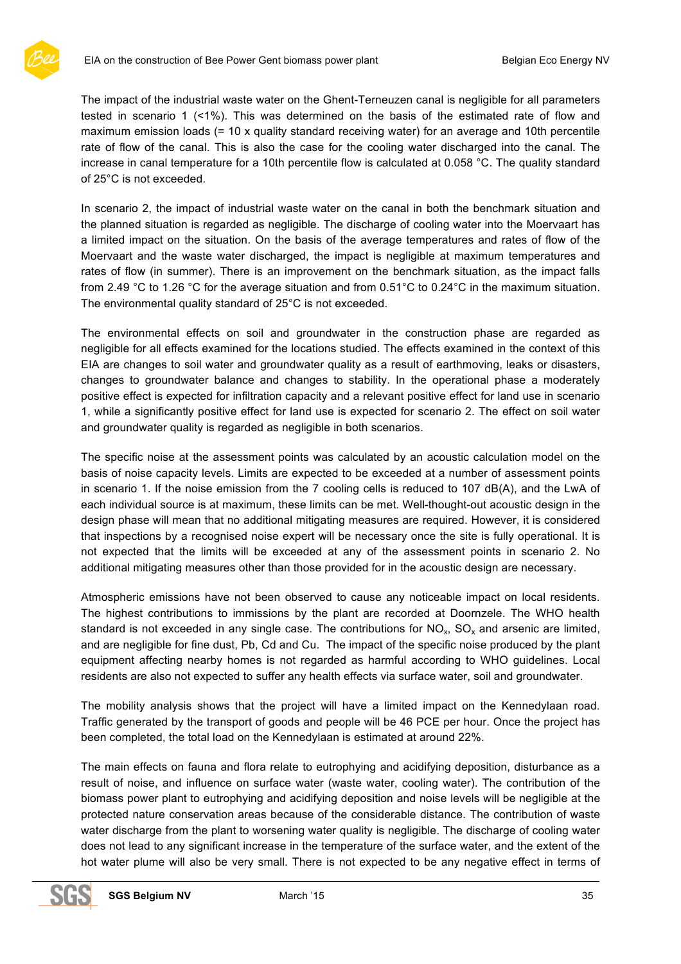

The impact of the industrial waste water on the Ghent-Terneuzen canal is negligible for all parameters tested in scenario 1 (<1%). This was determined on the basis of the estimated rate of flow and maximum emission loads (= 10 x quality standard receiving water) for an average and 10th percentile rate of flow of the canal. This is also the case for the cooling water discharged into the canal. The increase in canal temperature for a 10th percentile flow is calculated at 0.058 °C. The quality standard of 25°C is not exceeded.

In scenario 2, the impact of industrial waste water on the canal in both the benchmark situation and the planned situation is regarded as negligible. The discharge of cooling water into the Moervaart has a limited impact on the situation. On the basis of the average temperatures and rates of flow of the Moervaart and the waste water discharged, the impact is negligible at maximum temperatures and rates of flow (in summer). There is an improvement on the benchmark situation, as the impact falls from 2.49 °C to 1.26 °C for the average situation and from 0.51°C to 0.24°C in the maximum situation. The environmental quality standard of 25°C is not exceeded.

The environmental effects on soil and groundwater in the construction phase are regarded as negligible for all effects examined for the locations studied. The effects examined in the context of this EIA are changes to soil water and groundwater quality as a result of earthmoving, leaks or disasters, changes to groundwater balance and changes to stability. In the operational phase a moderately positive effect is expected for infiltration capacity and a relevant positive effect for land use in scenario 1, while a significantly positive effect for land use is expected for scenario 2. The effect on soil water and groundwater quality is regarded as negligible in both scenarios.

The specific noise at the assessment points was calculated by an acoustic calculation model on the basis of noise capacity levels. Limits are expected to be exceeded at a number of assessment points in scenario 1. If the noise emission from the 7 cooling cells is reduced to 107 dB(A), and the LwA of each individual source is at maximum, these limits can be met. Well-thought-out acoustic design in the design phase will mean that no additional mitigating measures are required. However, it is considered that inspections by a recognised noise expert will be necessary once the site is fully operational. It is not expected that the limits will be exceeded at any of the assessment points in scenario 2. No additional mitigating measures other than those provided for in the acoustic design are necessary.

Atmospheric emissions have not been observed to cause any noticeable impact on local residents. The highest contributions to immissions by the plant are recorded at Doornzele. The WHO health standard is not exceeded in any single case. The contributions for  $NO<sub>x</sub>$ ,  $SO<sub>x</sub>$  and arsenic are limited, and are negligible for fine dust, Pb, Cd and Cu. The impact of the specific noise produced by the plant equipment affecting nearby homes is not regarded as harmful according to WHO guidelines. Local residents are also not expected to suffer any health effects via surface water, soil and groundwater.

The mobility analysis shows that the project will have a limited impact on the Kennedylaan road. Traffic generated by the transport of goods and people will be 46 PCE per hour. Once the project has been completed, the total load on the Kennedylaan is estimated at around 22%.

The main effects on fauna and flora relate to eutrophying and acidifying deposition, disturbance as a result of noise, and influence on surface water (waste water, cooling water). The contribution of the biomass power plant to eutrophying and acidifying deposition and noise levels will be negligible at the protected nature conservation areas because of the considerable distance. The contribution of waste water discharge from the plant to worsening water quality is negligible. The discharge of cooling water does not lead to any significant increase in the temperature of the surface water, and the extent of the hot water plume will also be very small. There is not expected to be any negative effect in terms of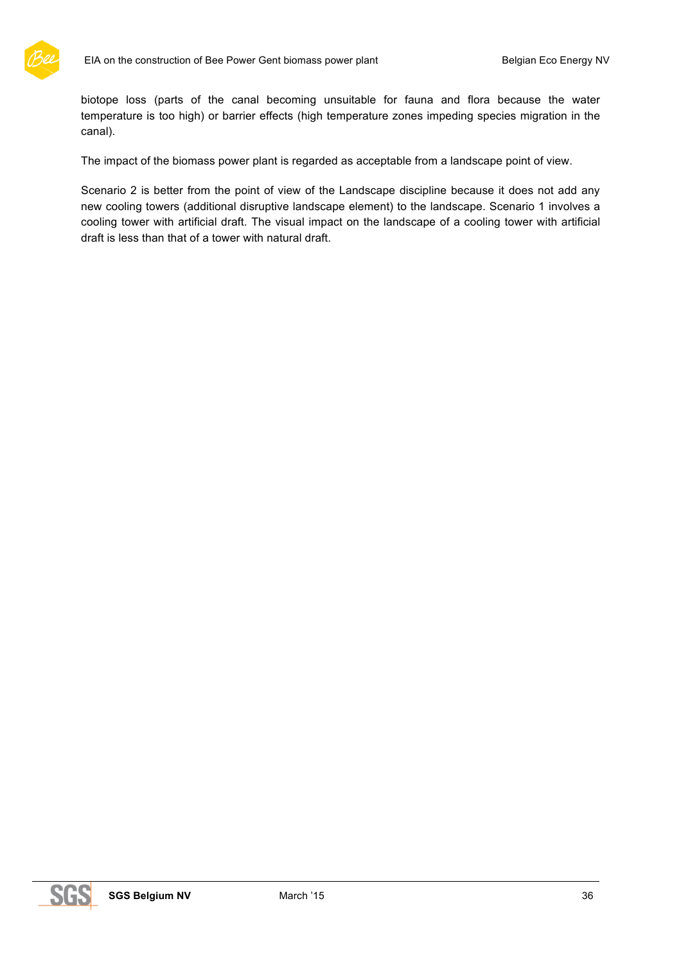

biotope loss (parts of the canal becoming unsuitable for fauna and flora because the water temperature is too high) or barrier effects (high temperature zones impeding species migration in the canal).

The impact of the biomass power plant is regarded as acceptable from a landscape point of view.

Scenario 2 is better from the point of view of the Landscape discipline because it does not add any new cooling towers (additional disruptive landscape element) to the landscape. Scenario 1 involves a cooling tower with artificial draft. The visual impact on the landscape of a cooling tower with artificial draft is less than that of a tower with natural draft.

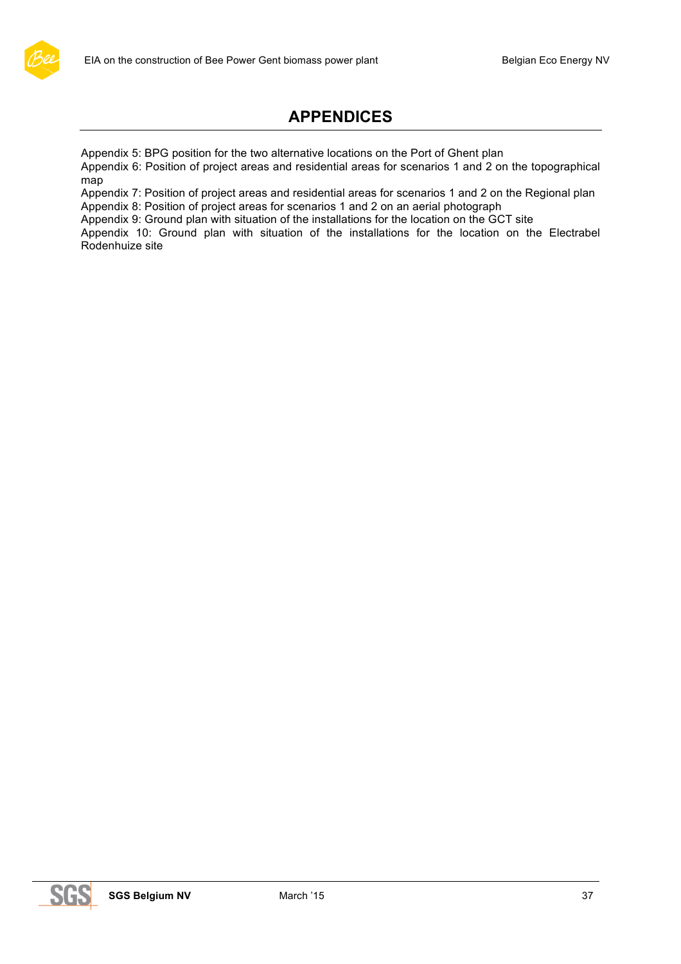

# **APPENDICES**

Appendix 5: BPG position for the two alternative locations on the Port of Ghent plan

Appendix 6: Position of project areas and residential areas for scenarios 1 and 2 on the topographical map

Appendix 7: Position of project areas and residential areas for scenarios 1 and 2 on the Regional plan Appendix 8: Position of project areas for scenarios 1 and 2 on an aerial photograph

Appendix 9: Ground plan with situation of the installations for the location on the GCT site

Appendix 10: Ground plan with situation of the installations for the location on the Electrabel Rodenhuize site